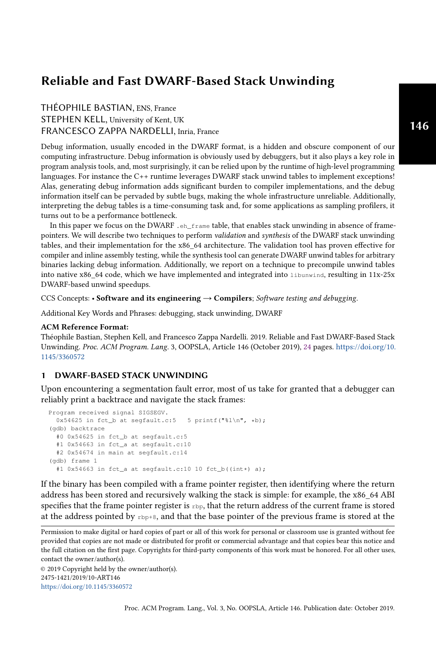# Reliable and Fast DWARF-Based Stack Unwinding

THÉOPHILE BASTIAN, ENS, France STEPHEN KELL, University of Kent, UK FRANCESCO ZAPPA NARDELLI, Inria, France

Debug information, usually encoded in the DWARF format, is a hidden and obscure component of our computing infrastructure. Debug information is obviously used by debuggers, but it also plays a key role in program analysis tools, and, most surprisingly, it can be relied upon by the runtime of high-level programming languages. For instance the C++ runtime leverages DWARF stack unwind tables to implement exceptions! Alas, generating debug information adds significant burden to compiler implementations, and the debug information itself can be pervaded by subtle bugs, making the whole infrastructure unreliable. Additionally, interpreting the debug tables is a time-consuming task and, for some applications as sampling profilers, it turns out to be a performance bottleneck.

In this paper we focus on the DWARF .eh\_frame table, that enables stack unwinding in absence of framepointers. We will describe two techniques to perform validation and synthesis of the DWARF stack unwinding tables, and their implementation for the x86\_64 architecture. The validation tool has proven effective for compiler and inline assembly testing, while the synthesis tool can generate DWARF unwind tables for arbitrary binaries lacking debug information. Additionally, we report on a technique to precompile unwind tables into native x86\_64 code, which we have implemented and integrated into libunwind, resulting in 11x-25x DWARF-based unwind speedups.

CCS Concepts: • Software and its engineering  $\rightarrow$  Compilers; Software testing and debugging.

Additional Key Words and Phrases: debugging, stack unwinding, DWARF

## ACM Reference Format:

Théophile Bastian, Stephen Kell, and Francesco Zappa Nardelli. 2019. Reliable and Fast DWARF-Based Stack Unwinding. Proc. ACM Program. Lang. 3, OOPSLA, Article 146 (October 2019), [24](#page-23-0) pages. [https://doi.org/10.](https://doi.org/10.1145/3360572) [1145/3360572](https://doi.org/10.1145/3360572)

# 1 DWARF-BASED STACK UNWINDING

Upon encountering a segmentation fault error, most of us take for granted that a debugger can reliably print a backtrace and navigate the stack frames:

```
Program received signal SIGSEGV.
 0x54625 in fct_b at segfault.c:5 5 printf("%l\n", *b);
(gdb) backtrace
  #0 0x54625 in fct_b at segfault.c:5
  #1 0x54663 in fct_a at segfault.c:10
  #2 0x54674 in main at segfault.c:14
(gdb) frame 1
  #1 0x54663 in fct_a at segfault.c:10 10 fct_b((int*) a);
```
If the binary has been compiled with a frame pointer register, then identifying where the return address has been stored and recursively walking the stack is simple: for example, the x86\_64 ABI specifies that the frame pointer register is  $_{\rm rbp}$ , that the return address of the current frame is stored at the address pointed by  $\text{rbp+8}$ , and that the base pointer of the previous frame is stored at the

© 2019 Copyright held by the owner/author(s). 2475-1421/2019/10-ART146 <https://doi.org/10.1145/3360572>

Permission to make digital or hard copies of part or all of this work for personal or classroom use is granted without fee provided that copies are not made or distributed for profit or commercial advantage and that copies bear this notice and the full citation on the first page. Copyrights for third-party components of this work must be honored. For all other uses, contact the owner/author(s).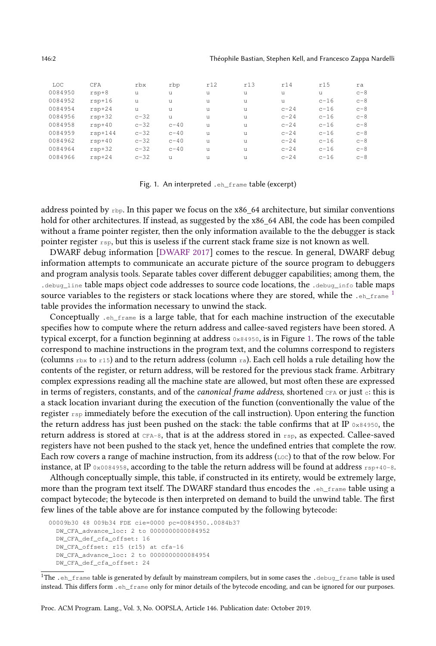#### 146:2 Théophile Bastian, Stephen Kell, and Francesco Zappa Nardelli

<span id="page-1-1"></span>

| LOC     | CFA       | rbx      | rbp    | r12 | r13 | r14    | r15    | ra    |
|---------|-----------|----------|--------|-----|-----|--------|--------|-------|
| 0084950 | $rsp+8$   | u        | u      | u   | u   | u      | u      | $c-8$ |
| 0084952 | $rsp+16$  | u        | u      | u   | u   | u      | $c-16$ | $c-8$ |
| 0084954 | $rsp+24$  | u        | u      | u   | u   | $c-24$ | $c-16$ | $c-8$ |
| 0084956 | $rsp+32$  | $c - 32$ | u      | u   | u   | $c-24$ | $c-16$ | $c-8$ |
| 0084958 | $rsp+40$  | $c - 32$ | $c-40$ | u   | u   | $c-24$ | $c-16$ | $c-8$ |
| 0084959 | $rsp+144$ | $c - 32$ | $c-40$ | u   | u   | $c-24$ | $c-16$ | $c-8$ |
| 0084962 | $rsp+40$  | $c - 32$ | $c-40$ | u   | u   | $c-24$ | $c-16$ | $c-8$ |
| 0084964 | $rsp+32$  | $c - 32$ | $c-40$ | u   | u   | $c-24$ | $c-16$ | $c-8$ |
| 0084966 | $rsp+24$  | $c - 32$ | u      | u   | u   | $c-24$ | $c-16$ | $c-8$ |

Fig. 1. An interpreted .eh\_frame table (excerpt)

address pointed by  $r_{\text{bp}}$ . In this paper we focus on the x86 64 architecture, but similar conventions hold for other architectures. If instead, as suggested by the x86\_64 ABI, the code has been compiled without a frame pointer register, then the only information available to the the debugger is stack pointer register  $r_{\text{sp}}$ , but this is useless if the current stack frame size is not known as well.

DWARF debug information [\[DWARF](#page-18-0) [2017\]](#page-18-0) comes to the rescue. In general, DWARF debug information attempts to communicate an accurate picture of the source program to debuggers and program analysis tools. Separate tables cover different debugger capabilities; among them, the .debug\_line table maps object code addresses to source code locations, the .debug\_info table maps source variables to the registers or stack locations where they are stored, while the  $\cdot$  eh\_frame <sup>[1](#page-1-0)</sup> table provides the information necessary to unwind the stack.

Conceptually .eh\_frame is a large table, that for each machine instruction of the executable specifies how to compute where the return address and callee-saved registers have been stored. A typical excerpt, for a function beginning at address  $0 \times 84950$ , is in Figure [1.](#page-1-1) The rows of the table correspond to machine instructions in the program text, and the columns correspond to registers (columns  $r$ bx to  $r15$ ) and to the return address (column  $ra$ ). Each cell holds a rule detailing how the contents of the register, or return address, will be restored for the previous stack frame. Arbitrary complex expressions reading all the machine state are allowed, but most often these are expressed in terms of registers, constants, and of the *canonical frame address*, shortened  $CFA$  or just  $c$ : this is a stack location invariant during the execution of the function (conventionally the value of the register  $r_{\text{sp}}$  immediately before the execution of the call instruction). Upon entering the function the return address has just been pushed on the stack: the table confirms that at IP  $0 \times 84950$ , the return address is stored at  $c_{FA-8}$ , that is at the address stored in  $r_{SB}$ , as expected. Callee-saved registers have not been pushed to the stack yet, hence the undefined entries that complete the row. Each row covers a range of machine instruction, from its address ( $_{\text{Loc}}$ ) to that of the row below. For instance, at IP 0x0084958, according to the table the return address will be found at address rsp+40-8.

Although conceptually simple, this table, if constructed in its entirety, would be extremely large, more than the program text itself. The DWARF standard thus encodes the .eh\_frame table using a compact bytecode; the bytecode is then interpreted on demand to build the unwind table. The first few lines of the table above are for instance computed by the following bytecode:

<sup>00009</sup>b30 48 009b34 FDE cie=0000 pc=0084950..0084b37 DW\_CFA\_advance\_loc: 2 to 0000000000084952 DW\_CFA\_def\_cfa\_offset: 16 DW\_CFA\_offset: r15 (r15) at cfa-16 DW\_CFA\_advance\_loc: 2 to 0000000000084954 DW\_CFA\_def\_cfa\_offset: 24

<span id="page-1-0"></span> $1$ The .eh\_frame table is generated by default by mainstream compilers, but in some cases the .debug\_frame table is used instead. This differs form .eh\_frame only for minor details of the bytecode encoding, and can be ignored for our purposes.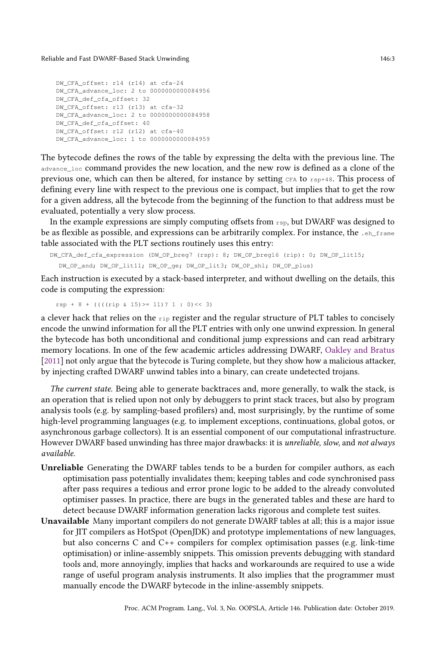#### Reliable and Fast DWARF-Based Stack Unwinding 146:3

```
DW_CFA_offset: r14 (r14) at cfa-24
DW_CFA_advance_loc: 2 to 0000000000084956
DW_CFA_def_cfa_offset: 32
DW_CFA_offset: r13 (r13) at cfa-32
DW_CFA_advance_loc: 2 to 0000000000084958
DW_CFA_def_cfa_offset: 40
DW_CFA_offset: r12 (r12) at cfa-40
DW_CFA_advance_loc: 1 to 0000000000084959
```
The bytecode defines the rows of the table by expressing the delta with the previous line. The advance\_loc command provides the new location, and the new row is defined as a clone of the previous one, which can then be altered, for instance by setting  $CFA$  to  $CFA$ . This process of defining every line with respect to the previous one is compact, but implies that to get the row for a given address, all the bytecode from the beginning of the function to that address must be evaluated, potentially a very slow process.

In the example expressions are simply computing offsets from  $r_{\rm sp}$ , but DWARF was designed to be as flexible as possible, and expressions can be arbitrarily complex. For instance, the .eh\_frame table associated with the PLT sections routinely uses this entry:

```
DW_CFA_def_cfa_expression (DW_OP_breg7 (rsp): 8; DW_OP_breg16 (rip): 0; DW_OP_lit15;
  DW_OP_and; DW_OP_lit11; DW_OP_ge; DW_OP_lit3; DW_OP_shl; DW_OP_plus)
```
Each instruction is executed by a stack-based interpreter, and without dwelling on the details, this code is computing the expression:

 $rsp + 8 + ((((rip \& 15) \ge 11)? 1 : 0) \le 3)$ 

a clever hack that relies on the rip register and the regular structure of PLT tables to concisely encode the unwind information for all the PLT entries with only one unwind expression. In general the bytecode has both unconditional and conditional jump expressions and can read arbitrary memory locations. In one of the few academic articles addressing DWARF, [Oakley and Bratus](#page-19-0) [\[2011\]](#page-19-0) not only argue that the bytecode is Turing complete, but they show how a malicious attacker, by injecting crafted DWARF unwind tables into a binary, can create undetected trojans.

The current state. Being able to generate backtraces and, more generally, to walk the stack, is an operation that is relied upon not only by debuggers to print stack traces, but also by program analysis tools (e.g. by sampling-based profilers) and, most surprisingly, by the runtime of some high-level programming languages (e.g. to implement exceptions, continuations, global gotos, or asynchronous garbage collectors). It is an essential component of our computational infrastructure. However DWARF based unwinding has three major drawbacks: it is unreliable, slow, and not always available.

- Unreliable Generating the DWARF tables tends to be a burden for compiler authors, as each optimisation pass potentially invalidates them; keeping tables and code synchronised pass after pass requires a tedious and error prone logic to be added to the already convoluted optimiser passes. In practice, there are bugs in the generated tables and these are hard to detect because DWARF information generation lacks rigorous and complete test suites.
- Unavailable Many important compilers do not generate DWARF tables at all; this is a major issue for JIT compilers as HotSpot (OpenJDK) and prototype implementations of new languages, but also concerns C and C++ compilers for complex optimisation passes (e.g. link-time optimisation) or inline-assembly snippets. This omission prevents debugging with standard tools and, more annoyingly, implies that hacks and workarounds are required to use a wide range of useful program analysis instruments. It also implies that the programmer must manually encode the DWARF bytecode in the inline-assembly snippets.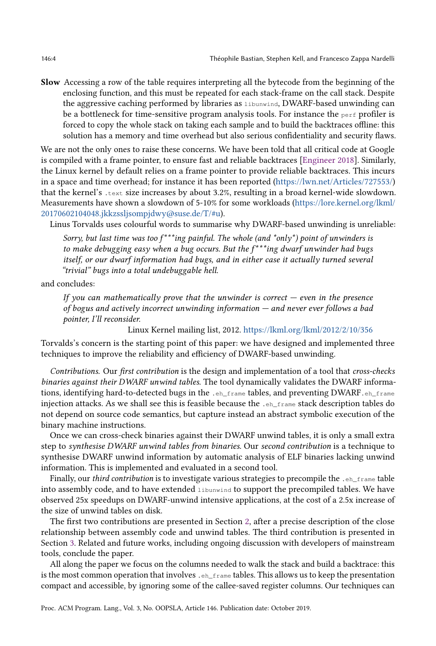Slow Accessing a row of the table requires interpreting all the bytecode from the beginning of the enclosing function, and this must be repeated for each stack-frame on the call stack. Despite the aggressive caching performed by libraries as libunwind, DWARF-based unwinding can be a bottleneck for time-sensitive program analysis tools. For instance the  $_{\text{perf}}$  profiler is forced to copy the whole stack on taking each sample and to build the backtraces offline: this solution has a memory and time overhead but also serious confidentiality and security flaws.

We are not the only ones to raise these concerns. We have been told that all critical code at Google is compiled with a frame pointer, to ensure fast and reliable backtraces [\[Engineer](#page-18-1) [2018\]](#page-18-1). Similarly, the Linux kernel by default relies on a frame pointer to provide reliable backtraces. This incurs in a space and time overhead; for instance it has been reported [\(https://lwn.net/Articles/727553/\)](https://lwn.net/Articles/727553/) that the kernel's .text size increases by about 3.2%, resulting in a broad kernel-wide slowdown. Measurements have shown a slowdown of 5-10% for some workloads [\(https://lore.kernel.org/lkml/](https://lore.kernel.org/lkml/20170602104048.jkkzssljsompjdwy@suse.de/T/#u) [20170602104048.jkkzssljsompjdwy@suse.de/T/#u\)](https://lore.kernel.org/lkml/20170602104048.jkkzssljsompjdwy@suse.de/T/#u).

Linus Torvalds uses colourful words to summarise why DWARF-based unwinding is unreliable:

Sorry, but last time was too  $f^{***}$ ing painful. The whole (and  $*$ only $*$ ) point of unwinders is to make debugging easy when a bug occurs. But the  $f^{***}$ ing dwarf unwinder had bugs itself, or our dwarf information had bugs, and in either case it actually turned several "trivial" bugs into a total undebuggable hell.

and concludes:

If you can mathematically prove that the unwinder is correct  $-e$  even in the presence of bogus and actively incorrect unwinding information — and never ever follows a bad pointer, I'll reconsider.

Linux Kernel mailing list, 2012. <https://lkml.org/lkml/2012/2/10/356>

Torvalds's concern is the starting point of this paper: we have designed and implemented three techniques to improve the reliability and efficiency of DWARF-based unwinding.

Contributions. Our first contribution is the design and implementation of a tool that cross-checks binaries against their DWARF unwind tables. The tool dynamically validates the DWARF informations, identifying hard-to-detected bugs in the .eh\_frame tables, and preventing DWARF.eh\_frame injection attacks. As we shall see this is feasible because the .eh\_frame stack description tables do not depend on source code semantics, but capture instead an abstract symbolic execution of the binary machine instructions.

Once we can cross-check binaries against their DWARF unwind tables, it is only a small extra step to synthesise DWARF unwind tables from binaries. Our second contribution is a technique to synthesise DWARF unwind information by automatic analysis of ELF binaries lacking unwind information. This is implemented and evaluated in a second tool.

Finally, our *third contribution* is to investigate various strategies to precompile the  $e_{\text{inframe}}$  table into assembly code, and to have extended libunwind to support the precompiled tables. We have observed 25x speedups on DWARF-unwind intensive applications, at the cost of a 2.5x increase of the size of unwind tables on disk.

The first two contributions are presented in Section [2,](#page-4-0) after a precise description of the close relationship between assembly code and unwind tables. The third contribution is presented in Section [3.](#page-11-0) Related and future works, including ongoing discussion with developers of mainstream tools, conclude the paper.

All along the paper we focus on the columns needed to walk the stack and build a backtrace: this is the most common operation that involves .eh\_frame tables. This allows us to keep the presentation compact and accessible, by ignoring some of the callee-saved register columns. Our techniques can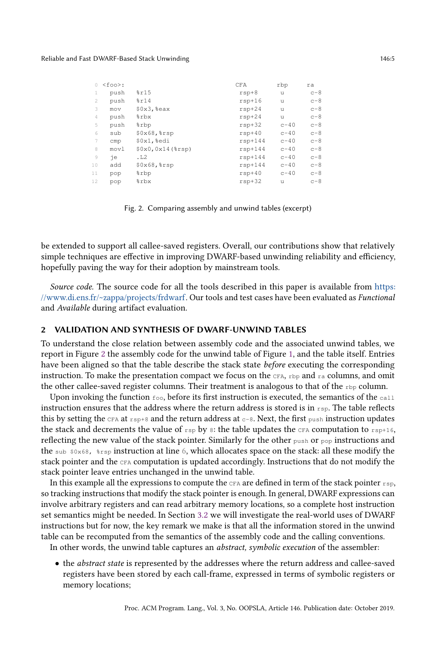#### <span id="page-4-1"></span>Reliable and Fast DWARF-Based Stack Unwinding 146:5

| $\Omega$ | $<$ foo>: |                      | CFA       | rbp    | ra    |
|----------|-----------|----------------------|-----------|--------|-------|
| 1        | push      | 8r15                 | $rsp+8$   | u      | $c-8$ |
| 2        | push      | 8r14                 | $rsp+16$  | u      | $c-8$ |
| 3        | mov       | $$0x3$ , $%eax$      | $rsp+24$  | u      | $c-8$ |
| 4        | push      | %rbx                 | $rsp+24$  | u      | $c-8$ |
| 5        | push      | %rbp                 | $rsp+32$  | $c-40$ | $c-8$ |
| 6        | sub       | $$0x68,$ $$rsp$      | $rsp+40$  | $c-40$ | $c-8$ |
| 7        | cmp       | \$0x1,%edi           | $rsp+144$ | $c-40$ | $c-8$ |
| 8        | movl      | $$0x0, 0x14$ (\$rsp) | $rsp+144$ | $c-40$ | $c-8$ |
| 9        | iе        | .L2                  | $rsp+144$ | $c-40$ | $c-8$ |
| 10       | add       | $$0x68,$ $$rsp$      | $rsp+144$ | $c-40$ | $c-8$ |
| 11       | pop       | %rbp                 | $rsp+40$  | $c-40$ | $c-8$ |
| 12       | pop       | %rbx                 | $rsp+32$  | u      | $c-8$ |

Fig. 2. Comparing assembly and unwind tables (excerpt)

be extended to support all callee-saved registers. Overall, our contributions show that relatively simple techniques are effective in improving DWARF-based unwinding reliability and efficiency, hopefully paving the way for their adoption by mainstream tools.

Source code. The source code for all the tools described in this paper is available from [https:](https://www.di.ens.fr/~zappa/projects/frdwarf) [//www.di.ens.fr/~zappa/projects/frdwarf.](https://www.di.ens.fr/~zappa/projects/frdwarf) Our tools and test cases have been evaluated as Functional and Available during artifact evaluation.

# <span id="page-4-0"></span>2 VALIDATION AND SYNTHESIS OF DWARF-UNWIND TABLES

To understand the close relation between assembly code and the associated unwind tables, we report in Figure [2](#page-4-1) the assembly code for the unwind table of Figure [1,](#page-1-1) and the table itself. Entries have been aligned so that the table describe the stack state before executing the corresponding instruction. To make the presentation compact we focus on the  $CFA$ ,  $Fbp$  and  $ra$  columns, and omit the other callee-saved register columns. Their treatment is analogous to that of the  $rbp$  column.

Upon invoking the function  $f \circ \circ$ , before its first instruction is executed, the semantics of the call instruction ensures that the address where the return address is stored is in  $r_{\rm sp}$ . The table reflects this by setting the  $CFA$  at  $rsp+8$  and the return address at  $c-8$ . Next, the first push instruction updates the stack and decrements the value of  $r_{\text{sp}}$  by 8: the table updates the CFA computation to  $r_{\text{sp}+16}$ , reflecting the new value of the stack pointer. Similarly for the other push or pop instructions and the sub \$0x68, %rsp instruction at line 6, which allocates space on the stack: all these modify the stack pointer and the CFA computation is updated accordingly. Instructions that do not modify the stack pointer leave entries unchanged in the unwind table.

In this example all the expressions to compute the  $CFA$  are defined in term of the stack pointer  $r_{SP}$ , so tracking instructions that modify the stack pointer is enough. In general, DWARF expressions can involve arbitrary registers and can read arbitrary memory locations, so a complete host instruction set semantics might be needed. In Section [3.2](#page-15-0) we will investigate the real-world uses of DWARF instructions but for now, the key remark we make is that all the information stored in the unwind table can be recomputed from the semantics of the assembly code and the calling conventions.

In other words, the unwind table captures an abstract, symbolic execution of the assembler:

• the abstract state is represented by the addresses where the return address and callee-saved registers have been stored by each call-frame, expressed in terms of symbolic registers or memory locations;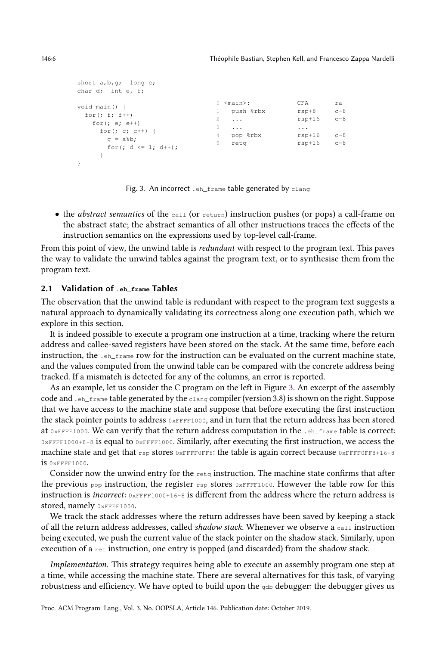```
short a,b,g; long c;
char d; int e, f;
void main() {
 for(j f; f^{++})
   for(; e; e++)
    for(; c; c++) {
     g = a%b;
      for (j d \leq 1; d++);
     }
}
                               0 <main>:
                              1 push %rbx
                              2 ...
                              3 ...
                              4 pop %rbx
                              5 retq
                                                 CFA ra
                                                rsp+8 c-8
                                                rsp+16 c-8
                                                 ...
                                                rsp+16 c-8
                                                rsp+16 c-8
```
Fig. 3. An incorrect .eh\_frame table generated by clang

 $\bullet$  the *abstract semantics* of the call (or return) instruction pushes (or pops) a call-frame on the abstract state; the abstract semantics of all other instructions traces the effects of the instruction semantics on the expressions used by top-level call-frame.

From this point of view, the unwind table is *redundant* with respect to the program text. This paves the way to validate the unwind tables against the program text, or to synthesise them from the program text.

## 2.1 Validation of **.eh\_frame** Tables

The observation that the unwind table is redundant with respect to the program text suggests a natural approach to dynamically validating its correctness along one execution path, which we explore in this section.

It is indeed possible to execute a program one instruction at a time, tracking where the return address and callee-saved registers have been stored on the stack. At the same time, before each instruction, the  $.$   $_{eh-frame}$  row for the instruction can be evaluated on the current machine state, and the values computed from the unwind table can be compared with the concrete address being tracked. If a mismatch is detected for any of the columns, an error is reported.

As an example, let us consider the C program on the left in Figure [3.](#page-5-0) An excerpt of the assembly code and .eh\_frame table generated by the clang compiler (version 3.8) is shown on the right. Suppose that we have access to the machine state and suppose that before executing the first instruction the stack pointer points to address  $0 \times F$ FFF1000, and in turn that the return address has been stored at 0xFFFF1000. We can verify that the return address computation in the .eh\_frame table is correct: 0xFFFF1000+8-8 is equal to 0xFFFF1000. Similarly, after executing the first instruction, we access the machine state and get that  $rsp$  stores 0xFFFF0FF8: the table is again correct because 0xFFFF0FF8+16-8 is 0xFFFF1000.

Consider now the unwind entry for the  $r_{\text{etq}}$  instruction. The machine state confirms that after the previous  $_{\text{pop}}$  instruction, the register  $_{\text{rsp}}$  stores  $_{\text{0xFFF1000}}$ . However the table row for this instruction is incorrect: 0xFFFF1000+16-8 is different from the address where the return address is stored, namely 0xFFFF1000.

We track the stack addresses where the return addresses have been saved by keeping a stack of all the return address addresses, called *shadow stack*. Whenever we observe a  $_{\text{call}}$  instruction being executed, we push the current value of the stack pointer on the shadow stack. Similarly, upon execution of a ret instruction, one entry is popped (and discarded) from the shadow stack.

Implementation. This strategy requires being able to execute an assembly program one step at a time, while accessing the machine state. There are several alternatives for this task, of varying robustness and efficiency. We have opted to build upon the  $qab$  debugger: the debugger gives us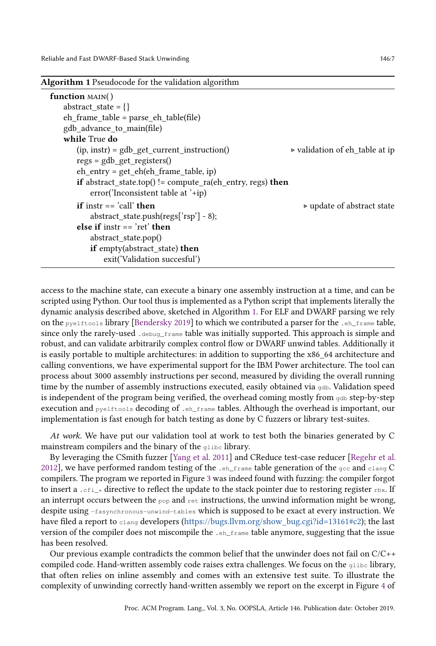<span id="page-6-0"></span>

| <b>Algorithm 1</b> Pseudocode for the validation algorithm                   |                                           |
|------------------------------------------------------------------------------|-------------------------------------------|
| function $MAIN()$                                                            |                                           |
| abstract state = $\{\}$                                                      |                                           |
| $eh_{\text{frame}_{\text{table}}} = \text{parse}_{\text{eh}_{\text{table}}}$ |                                           |
| gdb advance to main(file)                                                    |                                           |
| while True do                                                                |                                           |
| $(ip, instr) = gdb\_get\_current\_instruction()$                             | ► validation of eh_table at ip            |
| $regs = gdb\_get\_registers()$                                               |                                           |
| $eh_{entry} = get_{eh}(eh_{frame_{table}}; ip)$                              |                                           |
| <b>if</b> abstract_state.top() != compute ra(eh_entry, regs) <b>then</b>     |                                           |
| error('Inconsistent table at $'$ +ip)                                        |                                           |
| <b>if</b> instr $==$ 'call' <b>then</b>                                      | $\triangleright$ update of abstract state |
| abstract state.push(regs[' $rsp$ '] - 8);                                    |                                           |
| else if instr $==$ 'ret' then                                                |                                           |
| abstract_state.pop()                                                         |                                           |
| if empty(abstract_state) then                                                |                                           |
| exit('Validation succesful')                                                 |                                           |
|                                                                              |                                           |

access to the machine state, can execute a binary one assembly instruction at a time, and can be scripted using Python. Our tool thus is implemented as a Python script that implements literally the dynamic analysis described above, sketched in Algorithm [1.](#page-6-0) For ELF and DWARF parsing we rely on the pyelftools library [\[Bendersky](#page-18-2) [2019\]](#page-18-2) to which we contributed a parser for the .eh\_frame table, since only the rarely-used .debug\_frame table was initially supported. This approach is simple and robust, and can validate arbitrarily complex control flow or DWARF unwind tables. Additionally it is easily portable to multiple architectures: in addition to supporting the x86 64 architecture and calling conventions, we have experimental support for the IBM Power architecture. The tool can process about 3000 assembly instructions per second, measured by dividing the overall running time by the number of assembly instructions executed, easily obtained via  $\phi$ db. Validation speed is independent of the program being verified, the overhead coming mostly from  $qab$  step-by-step execution and pyelftools decoding of .eh\_frame tables. Although the overhead is important, our implementation is fast enough for batch testing as done by C fuzzers or library test-suites.

At work. We have put our validation tool at work to test both the binaries generated by C mainstream compilers and the binary of the glibc library.

By leveraging the CSmith fuzzer [\[Yang et al.](#page-19-1) [2011\]](#page-19-1) and CReduce test-case reducer [\[Regehr et al.](#page-19-2) [2012\]](#page-19-2), we have performed random testing of the  $\cdot$ eh\_frame table generation of the gcc and clang C compilers. The program we reported in Figure [3](#page-5-0) was indeed found with fuzzing: the compiler forgot to insert a .cfi\_\* directive to reflect the update to the stack pointer due to restoring register rbx. If an interrupt occurs between the  $_{\text{pop}}$  and  $_{\text{ret}}$  instructions, the unwind information might be wrong, despite using -fasynchronous-unwind-tables which is supposed to be exact at every instruction. We have filed a report to clang developers [\(https://bugs.llvm.org/show\\_bug.cgi?id=13161#c2\)](https://bugs.llvm.org/show_bug.cgi?id=13161#c2); the last version of the compiler does not miscompile the .eh\_frame table anymore, suggesting that the issue has been resolved.

Our previous example contradicts the common belief that the unwinder does not fail on C/C++ compiled code. Hand-written assembly code raises extra challenges. We focus on the  $q$ libc library, that often relies on inline assembly and comes with an extensive test suite. To illustrate the complexity of unwinding correctly hand-written assembly we report on the excerpt in Figure [4](#page-7-0) of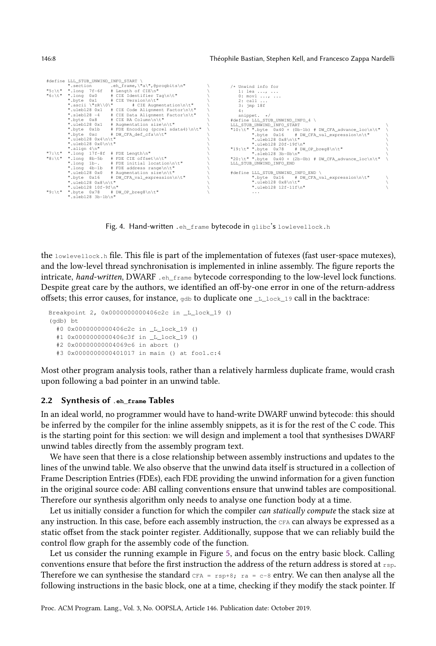<span id="page-7-0"></span>

|        | #define LLL STUB UNWIND INFO START \ |                                                |                                                                                  |  |
|--------|--------------------------------------|------------------------------------------------|----------------------------------------------------------------------------------|--|
|        |                                      | ".section .eh frame, \"a\", @progbits\n"       | /* Unwind info for                                                               |  |
|        |                                      | "5:\t" ".long $7f-6f$ # Length of CIE\n"       | 1: lea ,                                                                         |  |
|        | "6:\t" ".long 0x0                    | # CIE Identifier Tag\n\t"                      | $0: \text{movl} \dots, \dots$                                                    |  |
|        |                                      | ".byte 0x1 # CIE Version\n\t"                  | $2:$ call $\ldots$                                                               |  |
|        |                                      | ".ascii \"zR\\0\" # CIE Auqmentation\n\t"      | $3:$ imp $18f$                                                                   |  |
|        |                                      | ".uleb128 0x1 # CIE Code Alignment Factor\n\t" | 4:                                                                               |  |
|        | ".sleb128 -4                         | # CIE Data Alignment Factor\n\t"               | snippet. $\star/$                                                                |  |
|        | ".byte 0x8                           | # CIE RA Column\n\t"                           | #define LLL STUB UNWIND INFO 4 \                                                 |  |
|        | ".uleb128 0x1                        | # Augmentation size\n\t"                       | LLL STUB UNWIND INFO START                                                       |  |
|        | ".byte 0x1b                          | # FDE Encoding (pcrel sdata4) \n\t"            | "10:\t" ".byte $0x40 + (0b-1b)$ # DW CFA advance $1oc\backslash n\backslash t$ " |  |
|        | ".byte 0xc                           | # DW CFA def cfa\n\t"                          | ".byte $0x16$ # DW CFA val expression\n\t"                                       |  |
|        | ".uleb128 0x4\n\t"                   |                                                | ".uleb128 0x8\n\t"                                                               |  |
|        | ".uleb128 0x0\n\t"                   |                                                | ".uleb128 20f-19f\n"                                                             |  |
|        | ".align 4\n"                         |                                                | "19:\t" ".byte 0x78 # DW_OP_breg8\n\t"                                           |  |
|        |                                      | "7:\t" ".long $17f-8f$ # FDE Length\n"         | ".sleb128 3b-0b\n"                                                               |  |
| "8:\t" |                                      | ".long 8b-5b # FDE CIE offset\n\t"             | "20:\t" ".byte $0x40 + (2b-0b)$ # DW CFA advance $loc\hbox{-}\hbox{ht}$ "        |  |
|        |                                      | ".long $1b-.$ # FDE initial location\n\t"      | LLL STUB UNWIND INFO END                                                         |  |
|        |                                      | ".long 4b-1b # FDE address range\n\t"          |                                                                                  |  |
|        | ".uleb128 0x0                        | # Augmentation size\n\t"                       | #define LLL STUB UNWIND INFO END \                                               |  |
|        |                                      | ".byte $0x16$ # DW CFA val expression\n\t"     | ".byte $0x16$ # DW CFA val expression\n\t"                                       |  |
|        | ".uleb128 0x8\n\t"                   |                                                | ".uleb128 0x8\n\t"                                                               |  |
|        | ".uleb128 10f-9f\n"                  |                                                | ".uleb128 12f-11f\n"                                                             |  |
|        |                                      | "9:\t" ".byte $0x78$ # DW OP breq8\n\t"        | .                                                                                |  |
|        | ".sleb128 3b-1b\n"                   |                                                |                                                                                  |  |

Fig. 4. Hand-written .eh\_frame bytecode in glibc's lowlevellock.h

the lowlevellock.h file. This file is part of the implementation of futexes (fast user-space mutexes), and the low-level thread synchronisation is implemented in inline assembly. The figure reports the intricate, hand-written, DWARF . eh\_frame bytecode corresponding to the low-level lock functions. Despite great care by the authors, we identified an off-by-one error in one of the return-address offsets; this error causes, for instance,  $_{qdb}$  to duplicate one  $_{L\_lock\_19}$  call in the backtrace:

```
Breakpoint 2, 0x0000000000406c2c in _L_lock_19 ()
(gdb) bt
  #0 0x0000000000406c2c in _L_lock_19 ()
  #1 0x0000000000406c3f in _L_lock_19 ()
  #2 0x00000000004069c6 in abort ()
  #3 0x0000000000401017 in main () at foo1.c:4
```
Most other program analysis tools, rather than a relatively harmless duplicate frame, would crash upon following a bad pointer in an unwind table.

## 2.2 Synthesis of **.eh\_frame** Tables

In an ideal world, no programmer would have to hand-write DWARF unwind bytecode: this should be inferred by the compiler for the inline assembly snippets, as it is for the rest of the C code. This is the starting point for this section: we will design and implement a tool that synthesises DWARF unwind tables directly from the assembly program text.

We have seen that there is a close relationship between assembly instructions and updates to the lines of the unwind table. We also observe that the unwind data itself is structured in a collection of Frame Description Entries (FDEs), each FDE providing the unwind information for a given function in the original source code: ABI calling conventions ensure that unwind tables are compositional. Therefore our synthesis algorithm only needs to analyse one function body at a time.

Let us initially consider a function for which the compiler can statically compute the stack size at any instruction. In this case, before each assembly instruction, the CFA can always be expressed as a static offset from the stack pointer register. Additionally, suppose that we can reliably build the control flow graph for the assembly code of the function.

Let us consider the running example in Figure [5,](#page-8-0) and focus on the entry basic block. Calling conventions ensure that before the first instruction the address of the return address is stored at rsp. Therefore we can synthesise the standard  $CFA = rsp+8$ ;  $ra = c-8$  entry. We can then analyse all the following instructions in the basic block, one at a time, checking if they modify the stack pointer. If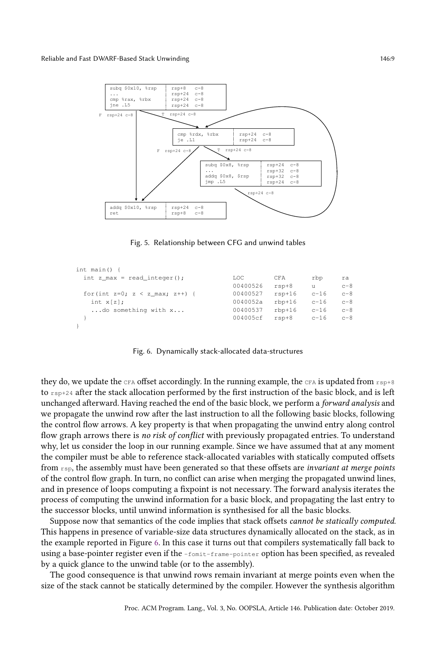<span id="page-8-0"></span>

Fig. 5. Relationship between CFG and unwind tables

<span id="page-8-1"></span>

| int main() $\{$                 |          |          |        |         |
|---------------------------------|----------|----------|--------|---------|
| int z max = read integer();     | LOC      | CFA      | rbp    | ra      |
|                                 | 00400526 | $rsp+8$  | u      | $c-8$   |
| for (int z=0; z < z_max; z++) { | 00400527 | $rsp+16$ | $c-16$ | $c-8$   |
| int $x[z]$ ;                    | 0040052a | $rbp+16$ | $c-16$ | $c-8$   |
| do something with x             | 00400537 | $rbp+16$ | $c-16$ | $c - 8$ |
|                                 | 004005cf | $rsp+8$  | $c-16$ | $c-8$   |
|                                 |          |          |        |         |

Fig. 6. Dynamically stack-allocated data-structures

they do, we update the CFA offset accordingly. In the running example, the CFA is updated from  $r_{\text{SD+8}}$ to  $r_{s,p+24}$  after the stack allocation performed by the first instruction of the basic block, and is left unchanged afterward. Having reached the end of the basic block, we perform a forward analysis and we propagate the unwind row after the last instruction to all the following basic blocks, following the control flow arrows. A key property is that when propagating the unwind entry along control flow graph arrows there is no risk of conflict with previously propagated entries. To understand why, let us consider the loop in our running example. Since we have assumed that at any moment the compiler must be able to reference stack-allocated variables with statically computed offsets from  $r_{\rm sp}$ , the assembly must have been generated so that these offsets are *invariant at merge points* of the control flow graph. In turn, no conflict can arise when merging the propagated unwind lines, and in presence of loops computing a fixpoint is not necessary. The forward analysis iterates the process of computing the unwind information for a basic block, and propagating the last entry to the successor blocks, until unwind information is synthesised for all the basic blocks.

Suppose now that semantics of the code implies that stack offsets cannot be statically computed. This happens in presence of variable-size data structures dynamically allocated on the stack, as in the example reported in Figure [6.](#page-8-1) In this case it turns out that compilers systematically fall back to using a base-pointer register even if the -fomit-frame-pointer option has been specified, as revealed by a quick glance to the unwind table (or to the assembly).

The good consequence is that unwind rows remain invariant at merge points even when the size of the stack cannot be statically determined by the compiler. However the synthesis algorithm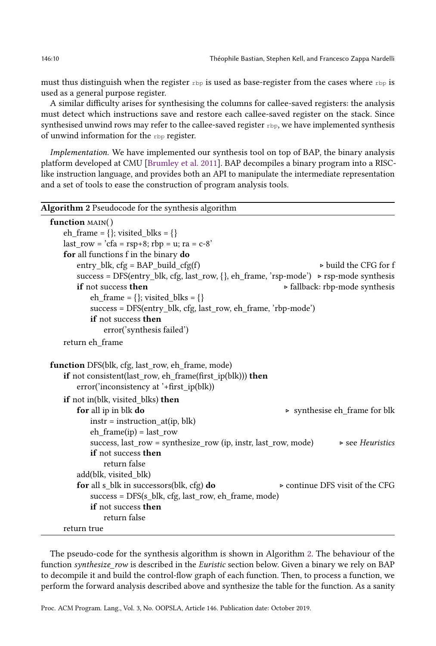must thus distinguish when the register  $r_{\text{bp}}$  is used as base-register from the cases where  $r_{\text{bp}}$  is used as a general purpose register.

A similar difficulty arises for synthesising the columns for callee-saved registers: the analysis must detect which instructions save and restore each callee-saved register on the stack. Since synthesised unwind rows may refer to the callee-saved register  $rbp$ , we have implemented synthesis of unwind information for the rbp register.

Implementation. We have implemented our synthesis tool on top of BAP, the binary analysis platform developed at CMU [\[Brumley et al.](#page-18-3) [2011\]](#page-18-3). BAP decompiles a binary program into a RISClike instruction language, and provides both an API to manipulate the intermediate representation and a set of tools to ease the construction of program analysis tools.

<span id="page-9-0"></span>

| Algorithm 2 Pseudocode for the synthesis algorithm                                                                                                        |                                                |
|-----------------------------------------------------------------------------------------------------------------------------------------------------------|------------------------------------------------|
| function $MAIN()$                                                                                                                                         |                                                |
| eh_frame = {}; visited_blks = {}                                                                                                                          |                                                |
| $last_{row} = 'cfa = rsp+8$ ; $rbp = u$ ; $ra = c-8'$                                                                                                     |                                                |
| for all functions f in the binary do                                                                                                                      |                                                |
| $entry$ _blk, $cfg = BAP$ _build_ $cfg(f)$                                                                                                                | $\triangleright$ build the CFG for f           |
| success = DFS(entry_blk, cfg, last_row, {}, eh_frame, 'rsp-mode') > rsp-mode synthesis                                                                    |                                                |
| if not success then                                                                                                                                       | $\triangleright$ fallback: rbp-mode synthesis  |
| eh_frame = {}; visited_blks = {}                                                                                                                          |                                                |
| success = DFS(entry_blk, cfg, last_row, eh_frame, 'rbp-mode')                                                                                             |                                                |
| <b>if</b> not success then                                                                                                                                |                                                |
| error('synthesis failed')                                                                                                                                 |                                                |
| return eh frame                                                                                                                                           |                                                |
| function DFS(blk, cfg, last_row, eh_frame, mode)<br>if not consistent(last_row, eh_frame(first_ip(blk))) then<br>error('inconsistency at '+first_ip(blk)) |                                                |
| if not in(blk, visited blks) then                                                                                                                         |                                                |
| for all ip in blk do                                                                                                                                      | $\triangleright$ synthesise eh_frame for blk   |
| $instr = instruction_at(ip, blk)$                                                                                                                         |                                                |
| $eh_{frame(ip)} = last_{row}$                                                                                                                             |                                                |
| success, last_row = synthesize_row (ip, instr, last_row, mode)                                                                                            | $\triangleright$ see Heuristics                |
| <b>if</b> not success then                                                                                                                                |                                                |
| return false                                                                                                                                              |                                                |
| add(blk, visited blk)                                                                                                                                     |                                                |
| for all s_blk in successors(blk, cfg) do                                                                                                                  | $\triangleright$ continue DFS visit of the CFG |
| success = DFS(s_blk, cfg, last_row, eh_frame, mode)                                                                                                       |                                                |
| if not success then                                                                                                                                       |                                                |
| return false                                                                                                                                              |                                                |
| return true                                                                                                                                               |                                                |

The pseudo-code for the synthesis algorithm is shown in Algorithm [2.](#page-9-0) The behaviour of the function *synthesize row* is described in the *Euristic* section below. Given a binary we rely on BAP to decompile it and build the control-flow graph of each function. Then, to process a function, we perform the forward analysis described above and synthesize the table for the function. As a sanity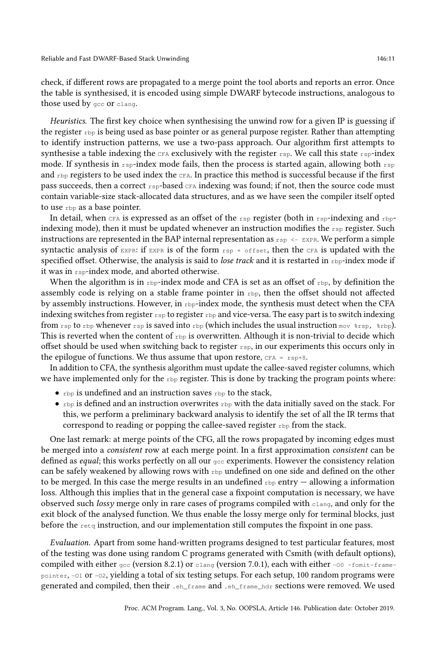check, if different rows are propagated to a merge point the tool aborts and reports an error. Once the table is synthesised, it is encoded using simple DWARF bytecode instructions, analogous to those used by gcc or clang.

Heuristics. The first key choice when synthesising the unwind row for a given IP is guessing if the register rbp is being used as base pointer or as general purpose register. Rather than attempting to identify instruction patterns, we use a two-pass approach. Our algorithm first attempts to synthesise a table indexing the  $CFA$  exclusively with the register  $rsp$ . We call this state  $rsp$ -index mode. If synthesis in  $r_{\text{sp}}$ -index mode fails, then the process is started again, allowing both  $r_{\text{sp}}$ and rbp registers to be used index the CFA. In practice this method is successful because if the first pass succeeds, then a correct rsp-based CFA indexing was found; if not, then the source code must contain variable-size stack-allocated data structures, and as we have seen the compiler itself opted to use rbp as a base pointer.

In detail, when CFA is expressed as an offset of the  $rsp$  register (both in  $rsp$ -indexing and rbpindexing mode), then it must be updated whenever an instruction modifies the  $r_{sp}$  register. Such instructions are represented in the BAP internal representation as  $r_{\rm sp} \leftarrow$  EXPR. We perform a simple syntactic analysis of EXPR: if EXPR is of the form  $rsp + \text{offset}$ , then the CFA is updated with the specified offset. Otherwise, the analysis is said to lose track and it is restarted in  $rbp$ -index mode if it was in rsp-index mode, and aborted otherwise.

When the algorithm is in  $_{\rm rbp}$ -index mode and CFA is set as an offset of  $_{\rm rbp}$ , by definition the assembly code is relying on a stable frame pointer in  $_{\rm rbb}$ , then the offset should not affected by assembly instructions. However, in  $_{\rm rbp}$ -index mode, the synthesis must detect when the CFA indexing switches from register  $r_{\text{sp}}$  to register  $r_{\text{bp}}$  and vice-versa. The easy part is to switch indexing from  $\text{rsp}$  to rbp whenever rsp is saved into rbp (which includes the usual instruction mov  $\text{ker}$ ,  $\text{ker}$ ). This is reverted when the content of  $r_{\text{bp}}$  is overwritten. Although it is non-trivial to decide which offset should be used when switching back to register  $r_{\rm sp}$ , in our experiments this occurs only in the epilogue of functions. We thus assume that upon restore,  $CFA = rsp+8$ .

In addition to CFA, the synthesis algorithm must update the callee-saved register columns, which we have implemented only for the  $_{\rm rbp}$  register. This is done by tracking the program points where:

- $\bullet$  rbp is undefined and an instruction saves rbp to the stack,
- $r_{\text{bp}}$  is defined and an instruction overwrites  $r_{\text{bp}}$  with the data initially saved on the stack. For this, we perform a preliminary backward analysis to identify the set of all the IR terms that correspond to reading or popping the callee-saved register rbp from the stack.

One last remark: at merge points of the CFG, all the rows propagated by incoming edges must be merged into a consistent row at each merge point. In a first approximation consistent can be defined as *equal*; this works perfectly on all our  $\sigma_{\rm cc}$  experiments. However the consistency relation can be safely weakened by allowing rows with  $_{\rm rbp}$  undefined on one side and defined on the other to be merged. In this case the merge results in an undefined  $r_{\text{bp}}$  entry  $-$  allowing a information loss. Although this implies that in the general case a fixpoint computation is necessary, we have observed such lossy merge only in rare cases of programs compiled with clang, and only for the exit block of the analysed function. We thus enable the lossy merge only for terminal blocks, just before the  $_{\text{retq}}$  instruction, and our implementation still computes the fixpoint in one pass.

Evaluation. Apart from some hand-written programs designed to test particular features, most of the testing was done using random C programs generated with Csmith (with default options), compiled with either  $qcc$  (version 8.2.1) or clang (version 7.0.1), each with either -00 -fomit-framepointer, -O1 or -O2, yielding a total of six testing setups. For each setup, 100 random programs were generated and compiled, then their .eh\_frame and .eh\_frame\_hdr sections were removed. We used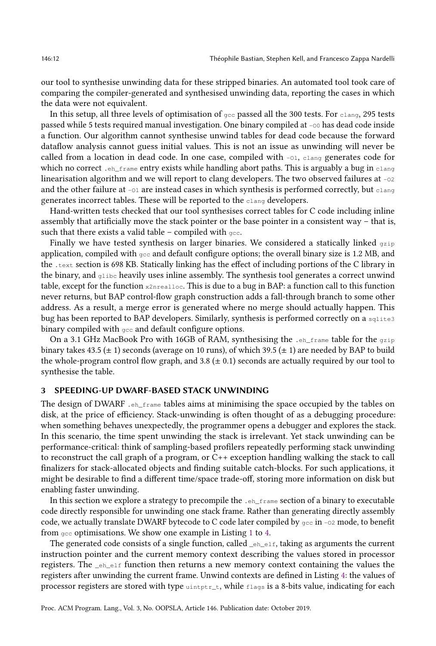our tool to synthesise unwinding data for these stripped binaries. An automated tool took care of comparing the compiler-generated and synthesised unwinding data, reporting the cases in which the data were not equivalent.

In this setup, all three levels of optimisation of  $qcc$  passed all the 300 tests. For clang, 295 tests passed while 5 tests required manual investigation. One binary compiled at -00 has dead code inside a function. Our algorithm cannot synthesise unwind tables for dead code because the forward dataflow analysis cannot guess initial values. This is not an issue as unwinding will never be called from a location in dead code. In one case, compiled with -01, clang generates code for which no correct .eh\_frame entry exists while handling abort paths. This is arguably a bug in clang linearisation algorithm and we will report to clang developers. The two observed failures at  $-\infty$ and the other failure at  $-\text{o}1$  are instead cases in which synthesis is performed correctly, but  $\text{clang}$ generates incorrect tables. These will be reported to the clang developers.

Hand-written tests checked that our tool synthesises correct tables for C code including inline assembly that artificially move the stack pointer or the base pointer in a consistent way – that is, such that there exists a valid table – compiled with  $qcc$ .

Finally we have tested synthesis on larger binaries. We considered a statically linked  $qzip$ application, compiled with  $g_{\text{c}c}$  and default configure options; the overall binary size is 1.2 MB, and the .text section is 698 KB. Statically linking has the effect of including portions of the C library in the binary, and  $q_{\text{libc}}$  heavily uses inline assembly. The synthesis tool generates a correct unwind table, except for the function x2nrealloc. This is due to a bug in BAP: a function call to this function never returns, but BAP control-flow graph construction adds a fall-through branch to some other address. As a result, a merge error is generated where no merge should actually happen. This bug has been reported to BAP developers. Similarly, synthesis is performed correctly on a sqlite3 binary compiled with  $qcc$  and default configure options.

On a 3.1 GHz MacBook Pro with 16GB of RAM, synthesising the  $\cdot$  eh\_frame table for the gzip binary takes 43.5 ( $\pm$  1) seconds (average on 10 runs), of which 39.5 ( $\pm$  1) are needed by BAP to build the whole-program control flow graph, and  $3.8 \ (\pm 0.1)$  seconds are actually required by our tool to synthesise the table.

## <span id="page-11-0"></span>3 SPEEDING-UP DWARF-BASED STACK UNWINDING

The design of DWARF .  $_{\text{eh-frame}}$  tables aims at minimising the space occupied by the tables on disk, at the price of efficiency. Stack-unwinding is often thought of as a debugging procedure: when something behaves unexpectedly, the programmer opens a debugger and explores the stack. In this scenario, the time spent unwinding the stack is irrelevant. Yet stack unwinding can be performance-critical: think of sampling-based profilers repeatedly performing stack unwinding to reconstruct the call graph of a program, or C++ exception handling walking the stack to call finalizers for stack-allocated objects and finding suitable catch-blocks. For such applications, it might be desirable to find a different time/space trade-off, storing more information on disk but enabling faster unwinding.

In this section we explore a strategy to precompile the .eh\_frame section of a binary to executable code directly responsible for unwinding one stack frame. Rather than generating directly assembly code, we actually translate DWARF bytecode to C code later compiled by  $gcc$  in -02 mode, to benefit from gcc optimisations. We show one example in Listing [1](#page-12-0) to [4.](#page-12-1)

The generated code consists of a single function, called  $_{e^h_e}$  and  $_{e^h_e}$  taking as arguments the current instruction pointer and the current memory context describing the values stored in processor registers. The \_eh\_elf function then returns a new memory context containing the values the registers after unwinding the current frame. Unwind contexts are defined in Listing [4:](#page-12-1) the values of processor registers are stored with type  $\text{uintptr}\_\text{t}$ , while  $\text{flags}$  is a 8-bits value, indicating for each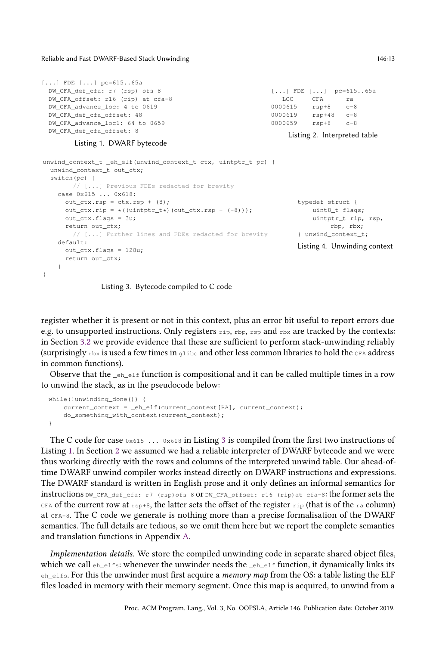Reliable and Fast DWARF-Based Stack Unwinding 146:13

```
[...] FDE [...] pc=615..65a
 DW_CFA_def_cfa: r7 (rsp) ofs 8
 DW_CFA_offset: r16 (rip) at cfa-8
 DW_CFA_advance_loc: 4 to 0619
 DW_CFA_def_cfa_offset: 48
 DW_CFA_advance_loc1: 64 to 0659
 DW_CFA_def_cfa_offset: 8
                                                        [...] FDE [...] pc=615..65a
                                                            LOC CFA ra
                                                         0000615 rsp+8 c-8
                                                        0000619 rsp+48 c-8
                                                        0000659 rsp+8 c-8
                                                             Listing 2. Interpreted table
```
## Listing 1. DWARF bytecode

```
unwind context t _eh_elf(unwind context t ctx, uintptr_t pc) {
 unwind_context_t_out_ctx;
 switch(pc) {
      // [...] Previous FDEs redacted for brevity
   case 0x615 ... 0x618:
     out ctx.rsp = ctx.rsp + (8);out\_ctx.rip = *((uintptr_t*)(out_ctx.rsp + (-8))));out_ctx.flags = 3u;
     return out_ctx;
       // [...] Further lines and FDEs redacted for brevity
   default:
     out_ctx.flags = 128u;
     return out_ctx;
   }
}
                                                                   typedef struct {
                                                                      uint8_t flags;
                                                                      uintptr_t rip, rsp,
                                                                           rbp, rbx;
                                                                   } unwind_context_t;
                                                                   Listing 4. Unwinding context
```
Listing 3. Bytecode compiled to C code

register whether it is present or not in this context, plus an error bit useful to report errors due e.g. to unsupported instructions. Only registers  $r_{\text{ip, rbp, rsp}}$  and  $r_{\text{bx}}$  are tracked by the contexts: in Section [3.2](#page-15-0) we provide evidence that these are sufficient to perform stack-unwinding reliably (surprisingly  $r_{\text{bx}}$  is used a few times in glibc and other less common libraries to hold the CFA address in common functions).

Observe that the  $_{e^{\text{th}}}$  elf function is compositional and it can be called multiple times in a row to unwind the stack, as in the pseudocode below:

```
while(!unwinding_done()) {
   current_context = _eh_elf(current_context[RA], current_context);
   do_something_with_context(current_context);
}
```
The C code for case  $0 \times 615$  ...  $0 \times 618$  in Listing [3](#page-12-2) is compiled from the first two instructions of Listing [1.](#page-12-0) In Section [2](#page-4-0) we assumed we had a reliable interpreter of DWARF bytecode and we were thus working directly with the rows and columns of the interpreted unwind table. Our ahead-oftime DWARF unwind compiler works instead directly on DWARF instructions and expressions. The DWARF standard is written in English prose and it only defines an informal semantics for instructions DW\_CFA\_def\_cfa: r7 (rsp)ofs 8 or DW\_CFA\_offset: r16 (rip)at cfa-8: the former sets the CFA of the current row at  $r_{\text{sp+8}}$ , the latter sets the offset of the register  $r_{\text{ip}}$  (that is of the ra column) at CFA-8. The C code we generate is nothing more than a precise formalisation of the DWARF semantics. The full details are tedious, so we omit them here but we report the complete semantics and translation functions in Appendix [A.](#page-19-3)

<span id="page-12-3"></span>Implementation details. We store the compiled unwinding code in separate shared object files, which we call  $e_h$  elfs: whenever the unwinder needs the  $\epsilon_{eh}$  elf function, it dynamically links its eh\_elfs. For this the unwinder must first acquire a memory map from the OS: a table listing the ELF files loaded in memory with their memory segment. Once this map is acquired, to unwind from a

<span id="page-12-1"></span>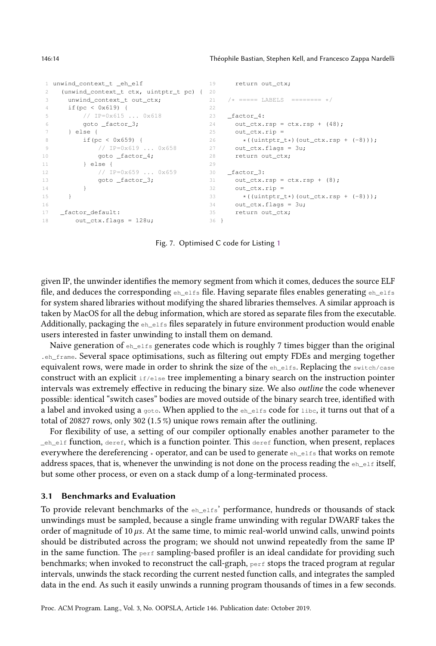```
1 unwind_context_t _eh_elf
 2 (unwind_context_t ctx, uintptr_t pc) {
20
3 unwind_context_t out_ctx;
4 if(pc < 0x619) {
5 // IP=0x615 ... 0x618
6 goto _factor_3;
 7 } else {
8 if(pc < 0x659) {
9 // IP=0x619 ... 0x658
10 goto _factor_4;
11 } else {
12 // IP=0x659 ... 0x659
13 goto _factor_3;
\begin{tabular}{c} 14 \\ \hline \end{tabular} \qquad \qquad \begin{tabular}{c} \textbf{14} \\ \textbf{15} \\ \textbf{16} \\ \textbf{17} \\ \textbf{18} \\ \textbf{19} \\ \textbf{10} \\ \textbf{11} \\ \textbf{12} \\ \textbf{13} \\ \textbf{14} \\ \textbf{15} \\ \textbf{16} \\ \textbf{17} \\ \textbf{18} \\ \textbf{19} \\ \textbf{19} \\ \textbf{10} \\ \textbf{10} \\ \textbf{11} \\ \textbf{12} \\ \textbf{13} \\ \textbf{16} \\ \15 }
16
17 _factor_default:
18 out_ctx.flags = 128u;
                                                        19 return out ctx;
                                                        21 /* ===== LABELS ======== */
                                                        22
                                                        23 _factor_4:
                                                         24 out_ctx.rsp = ctx.rsp + (48);
                                                         25 out_ctx.rip =
                                                      26 \star ((uintptr_t\star)(out_ctx.rsp + (-8)));
                                                  27 out_ctx.flags = 3u;
                                                       28 return out_ctx;
                                                        29
                                                        30 _factor_3:
                                                         31 out_ctx.rsp = ctx.rsp + (8);
                                                         32 out_ctx.rip =
                                                       33 \star ((uintptr_t\star)(out_ctx.rsp + (-8)));
                                                      34 out_ctx.flags = 3u;
                                                      35 return out_ctx;
                                                        36 }
```
Fig. 7. Optimised C code for Listing [1](#page-12-0)

given IP, the unwinder identifies the memory segment from which it comes, deduces the source ELF file, and deduces the corresponding eh\_elfs file. Having separate files enables generating eh\_elfs for system shared libraries without modifying the shared libraries themselves. A similar approach is taken by MacOS for all the debug information, which are stored as separate files from the executable. Additionally, packaging the  $e^{\frac{h}{n}}$  $e^{1.5}$  files separately in future environment production would enable users interested in faster unwinding to install them on demand.

Naive generation of  $e_{h_{\text{rel}}\text{is}}$  generates code which is roughly 7 times bigger than the original .eh\_frame. Several space optimisations, such as filtering out empty FDEs and merging together equivalent rows, were made in order to shrink the size of the eh\_elfs. Replacing the switch/case construct with an explicit  $if/else$  tree implementing a binary search on the instruction pointer intervals was extremely effective in reducing the binary size. We also outline the code whenever possible: identical "switch cases" bodies are moved outside of the binary search tree, identified with a label and invoked using a goto. When applied to the  $e<sub>h</sub>$  $e<sub>h</sub>$  also to libc, it turns out that of a total of <sup>20827</sup> rows, only <sup>302</sup> (1.5 %) unique rows remain after the outlining.

For flexibility of use, a setting of our compiler optionally enables another parameter to the \_eh\_elf function, deref, which is a function pointer. This deref function, when present, replaces everywhere the dereferencing  $\star$  operator, and can be used to generate  $e_{h_{\text{rel}} f}$  that works on remote address spaces, that is, whenever the unwinding is not done on the process reading the  $e^{\frac{h}{h}}$  itself, but some other process, or even on a stack dump of a long-terminated process.

## 3.1 Benchmarks and Evaluation

To provide relevant benchmarks of the eh\_elfs' performance, hundreds or thousands of stack unwindings must be sampled, because a single frame unwinding with regular DWARF takes the order of magnitude of 10  $\mu$ s. At the same time, to mimic real-world unwind calls, unwind points should be distributed across the program; we should not unwind repeatedly from the same IP in the same function. The perf sampling-based profiler is an ideal candidate for providing such benchmarks; when invoked to reconstruct the call-graph, perf stops the traced program at regular intervals, unwinds the stack recording the current nested function calls, and integrates the sampled data in the end. As such it easily unwinds a running program thousands of times in a few seconds.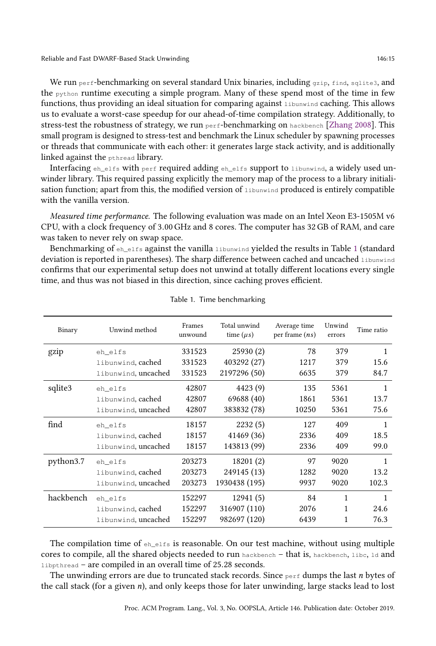We run perf-benchmarking on several standard Unix binaries, including gzip, find, sqlite3, and the python runtime executing a simple program. Many of these spend most of the time in few functions, thus providing an ideal situation for comparing against libunwind caching. This allows us to evaluate a worst-case speedup for our ahead-of-time compilation strategy. Additionally, to stress-test the robustness of strategy, we run perf-benchmarking on hackbench [\[Zhang](#page-19-4) [2008\]](#page-19-4). This small program is designed to stress-test and benchmark the Linux scheduler by spawning processes or threads that communicate with each other: it generates large stack activity, and is additionally linked against the pthread library.

Interfacing eh\_elfs with perf required adding eh\_elfs support to libunwind, a widely used unwinder library. This required passing explicitly the memory map of the process to a library initialisation function; apart from this, the modified version of libunwind produced is entirely compatible with the vanilla version.

Measured time performance. The following evaluation was made on an Intel Xeon E3-1505M v6 CPU, with a clock frequency of <sup>3</sup>.00GHz and 8 cores. The computer has 32 GB of RAM, and care was taken to never rely on swap space.

Benchmarking of eh\_elfs against the vanilla libunwind yielded the results in Table [1](#page-14-0) (standard deviation is reported in parentheses). The sharp difference between cached and uncached libunwind confirms that our experimental setup does not unwind at totally different locations every single time, and thus was not biased in this direction, since caching proves efficient.

<span id="page-14-0"></span>

| Binary    | Unwind method       | Frames<br>unwound | Total unwind<br>time $(\mu s)$ | Average time<br>per frame $(ns)$ | Unwind<br>errors | Time ratio   |
|-----------|---------------------|-------------------|--------------------------------|----------------------------------|------------------|--------------|
| gzip      | eh_elfs             | 331523            | 25930(2)                       | 78                               | 379              | 1            |
|           | libunwind, cached   | 331523            | 403292 (27)                    | 1217                             | 379              | 15.6         |
|           | libunwind, uncached | 331523            | 2197296 (50)                   | 6635                             | 379              | 84.7         |
| sqlite3   | eh_elfs             | 42807             | 4423 (9)                       | 135                              | 5361             | 1            |
|           | libunwind, cached   | 42807             | 69688 (40)                     | 1861                             | 5361             | 13.7         |
|           | libunwind, uncached | 42807             | 383832 (78)                    | 10250                            | 5361             | 75.6         |
| find      | eh_elfs             | 18157             | 2232(5)                        | 127                              | 409              | $\mathbf{1}$ |
|           | libunwind, cached   | 18157             | 41469 (36)                     | 2336                             | 409              | 18.5         |
|           | libunwind, uncached | 18157             | 143813 (99)                    | 2336                             | 409              | 99.0         |
| python3.7 | eh elfs             | 203273            | 18201 (2)                      | 97                               | 9020             | 1            |
|           | libunwind, cached   | 203273            | 249145 (13)                    | 1282                             | 9020             | 13.2         |
|           | libunwind, uncached | 203273            | 1930438 (195)                  | 9937                             | 9020             | 102.3        |
| hackbench | eh elfs             | 152297            | 12941(5)                       | 84                               | 1                | 1            |
|           | libunwind, cached   | 152297            | 316907 (110)                   | 2076                             | 1                | 24.6         |
|           | libunwind, uncached | 152297            | 982697 (120)                   | 6439                             | 1                | 76.3         |

### Table 1. Time benchmarking

The compilation time of  $e_{h_{\text{e}}+1}$  is reasonable. On our test machine, without using multiple cores to compile, all the shared objects needed to run hackbench – that is, hackbench, libc, ld and libpthread – are compiled in an overall time of <sup>25</sup>.<sup>28</sup> seconds.

The unwinding errors are due to truncated stack records. Since  $_{\text{perf}}$  dumps the last n bytes of the call stack (for a given n), and only keeps those for later unwinding, large stacks lead to lost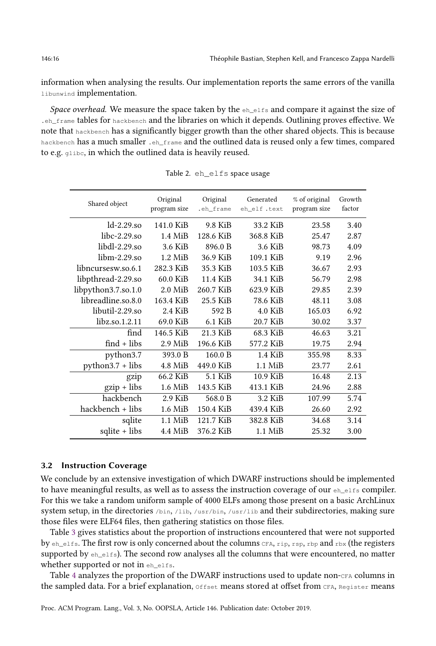information when analysing the results. Our implementation reports the same errors of the vanilla libunwind implementation.

Space overhead. We measure the space taken by the  $e_{h_{\text{e}}+1}$  and compare it against the size of .eh\_frame tables for hackbench and the libraries on which it depends. Outlining proves effective. We note that hackbench has a significantly bigger growth than the other shared objects. This is because hackbench has a much smaller .eh\_frame and the outlined data is reused only a few times, compared to e.g. glibc, in which the outlined data is heavily reused.

| Shared object        | Original<br>program size | Original<br>.eh frame | Generated<br>eh_elf.text | % of original<br>program size | Growth<br>factor |
|----------------------|--------------------------|-----------------------|--------------------------|-------------------------------|------------------|
| $ld-2.29$ .so        | 141.0 KiB                | 9.8 KiB               | 33.2 KiB                 | 23.58                         | 3.40             |
| $libc-2.29$ .so      | $1.4$ MiB                | 128.6 KiB             | 368.8 KiB                | 25.47                         | 2.87             |
| $libdl-2.29.so$      | 3.6 KiB                  | 896.0 B               | 3.6 KiB                  | 98.73                         | 4.09             |
| $libm-2.29.so$       | $1.2$ MiB                | 36.9 KiB              | 109.1 KiB                | 9.19                          | 2.96             |
| libncursesw.so.6.1   | 282.3 KiB                | 35.3 KiB              | 103.5 KiB                | 36.67                         | 2.93             |
| libpthread-2.29.so   | 60.0 KiB                 | 11.4 KiB              | 34.1 KiB                 | 56.79                         | 2.98             |
| libpython3.7.so.1.0  | $2.0$ MiB                | 260.7 KiB             | 623.9 KiB                | 29.85                         | 2.39             |
| libreadline.so.8.0   | 163.4 KiB                | 25.5 KiB              | 78.6 KiB                 | 48.11                         | 3.08             |
| libutil-2.29.so      | 2.4 KiB                  | 592 B                 | $4.0$ KiB                | 165.03                        | 6.92             |
| $libz.$ so. $1.2.11$ | 69.0 KiB                 | $6.1$ KiB             | 20.7 KiB                 | 30.02                         | 3.37             |
| find                 | 146.5 KiB                | 21.3 KiB              | 68.3 KiB                 | 46.63                         | 3.21             |
| $find + libs$        | $2.9$ MiB                | 196.6 KiB             | 577.2 KiB                | 19.75                         | 2.94             |
| python3.7            | 393.0 B                  | 160.0 B               | $1.4$ KiB                | 355.98                        | 8.33             |
| $python3.7 + libs$   | 4.8 MiB                  | 449.0 KiB             | $1.1$ MiB                | 23.77                         | 2.61             |
| gzip                 | 66.2 KiB                 | 5.1 KiB               | 10.9 KiB                 | 16.48                         | 2.13             |
| gzip + libs          | 1.6 MiB                  | 143.5 KiB             | 413.1 KiB                | 24.96                         | 2.88             |
| hackbench            | $2.9$ KiB                | 568.0 B               | 3.2 KiB                  | 107.99                        | 5.74             |
| hackbench + libs     | $1.6$ MiB                | 150.4 KiB             | 439.4 KiB                | 26.60                         | 2.92             |
| sqlite               | $1.1$ MiB                | 121.7 KiB             | 382.8 KiB                | 34.68                         | 3.14             |
| sqlite + libs        | 4.4 MiB                  | 376.2 KiB             | $1.1$ MiB                | 25.32                         | 3.00             |

Table 2. eh\_elfs space usage

## <span id="page-15-0"></span>3.2 Instruction Coverage

We conclude by an extensive investigation of which DWARF instructions should be implemented to have meaningful results, as well as to assess the instruction coverage of our eh\_elfs compiler. For this we take a random uniform sample of 4000 ELFs among those present on a basic ArchLinux system setup, in the directories /bin, /lib, /usr/bin, /usr/lib and their subdirectories, making sure those files were ELF64 files, then gathering statistics on those files.

Table [3](#page-16-0) gives statistics about the proportion of instructions encountered that were not supported by  $eh$ <sub>elfs</sub>. The first row is only concerned about the columns CFA,  $rip$ ,  $resp$ ,  $rbp$  and  $rbx$  (the registers supported by  $_{eh\text{ }elfs)}$ . The second row analyses all the columns that were encountered, no matter whether supported or not in eh\_elfs.

Table [4](#page-16-1) analyzes the proportion of the DWARF instructions used to update non-CFA columns in the sampled data. For a brief explanation, Offset means stored at offset from CFA, Register means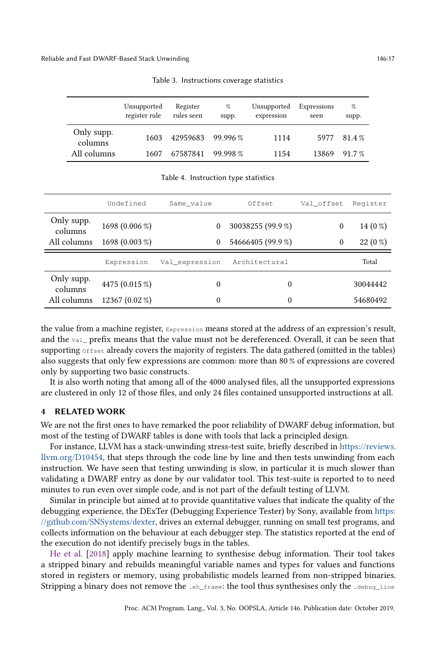<span id="page-16-0"></span>

|                       | Unsupported<br>register rule | Register<br>rules seen | %<br>supp. | Unsupported<br>expression | Expressions<br>seen | %<br>supp. |
|-----------------------|------------------------------|------------------------|------------|---------------------------|---------------------|------------|
| Only supp.<br>columns | 1603                         | 42959683 99.996 %      |            | 1114                      |                     | 5977 81.4% |
| All columns           | 1607                         | 67587841               | 99.998%    | 1154                      | 13869               | $91.7 \%$  |

Table 3. Instructions coverage statistics

<span id="page-16-1"></span>

|                       | Undefined      | Same value     | Offset            | Val offset   | Register  |
|-----------------------|----------------|----------------|-------------------|--------------|-----------|
| Only supp.<br>columns | 1698 (0.006 %) | 0              | 30038255 (99.9 %) | $\mathbf{0}$ | $14(0\%)$ |
| All columns           | 1698 (0.003 %) | 0              | 54666405 (99.9%)  | $\mathbf{0}$ | $22(0\%)$ |
|                       |                |                |                   |              |           |
|                       | Expression     | Val expression | Architectural     |              | Total     |
| Only supp.<br>columns | 4475 (0.015 %) | $\theta$       | $\theta$          |              | 30044442  |

Table 4. Instruction type statistics

the value from a machine register, Expression means stored at the address of an expression's result, and the vale prefix means that the value must not be dereferenced. Overall, it can be seen that supporting Offset already covers the majority of registers. The data gathered (omitted in the tables) also suggests that only few expressions are common: more than 80 % of expressions are covered only by supporting two basic constructs.

It is also worth noting that among all of the 4000 analysed files, all the unsupported expressions are clustered in only 12 of those files, and only 24 files contained unsupported instructions at all.

## 4 RELATED WORK

We are not the first ones to have remarked the poor reliability of DWARF debug information, but most of the testing of DWARF tables is done with tools that lack a principled design.

For instance, LLVM has a stack-unwinding stress-test suite, briefly described in [https://reviews.](https://reviews.llvm.org/D10454) [llvm.org/D10454,](https://reviews.llvm.org/D10454) that steps through the code line by line and then tests unwinding from each instruction. We have seen that testing unwinding is slow, in particular it is much slower than validating a DWARF entry as done by our validator tool. This test-suite is reported to to need minutes to run even over simple code, and is not part of the default testing of LLVM.

Similar in principle but aimed at to provide quantitative values that indicate the quality of the debugging experience, the DExTer (Debugging Experience Tester) by Sony, available from [https:](https://github.com/SNSystems/dexter) [//github.com/SNSystems/dexter,](https://github.com/SNSystems/dexter) drives an external debugger, running on small test programs, and collects information on the behaviour at each debugger step. The statistics reported at the end of the execution do not identify precisely bugs in the tables.

[He et al.](#page-18-4) [\[2018\]](#page-18-4) apply machine learning to synthesise debug information. Their tool takes a stripped binary and rebuilds meaningful variable names and types for values and functions stored in registers or memory, using probabilistic models learned from non-stripped binaries. Stripping a binary does not remove the .eh\_frame: the tool thus synthesises only the .debug\_line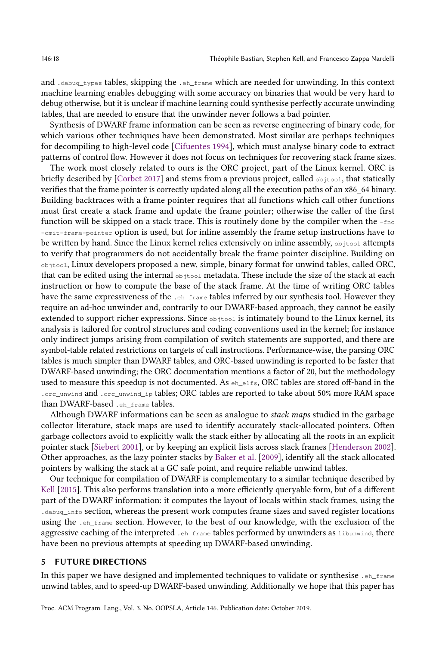and .debug\_types tables, skipping the .eh\_frame which are needed for unwinding. In this context machine learning enables debugging with some accuracy on binaries that would be very hard to debug otherwise, but it is unclear if machine learning could synthesise perfectly accurate unwinding tables, that are needed to ensure that the unwinder never follows a bad pointer.

Synthesis of DWARF frame information can be seen as reverse engineering of binary code, for which various other techniques have been demonstrated. Most similar are perhaps techniques for decompiling to high-level code [\[Cifuentes](#page-18-5) [1994\]](#page-18-5), which must analyse binary code to extract patterns of control flow. However it does not focus on techniques for recovering stack frame sizes.

The work most closely related to ours is the ORC project, part of the Linux kernel. ORC is briefly described by [\[Corbet](#page-18-6) [2017\]](#page-18-6) and stems from a previous project, called  $\circ$ bjtool, that statically verifies that the frame pointer is correctly updated along all the execution paths of an x86\_64 binary. Building backtraces with a frame pointer requires that all functions which call other functions must first create a stack frame and update the frame pointer; otherwise the caller of the first function will be skipped on a stack trace. This is routinely done by the compiler when the  $-\text{fno}$ -omit-frame-pointer option is used, but for inline assembly the frame setup instructions have to be written by hand. Since the Linux kernel relies extensively on inline assembly, objtool attempts to verify that programmers do not accidentally break the frame pointer discipline. Building on objtool, Linux developers proposed a new, simple, binary format for unwind tables, called ORC, that can be edited using the internal objtool metadata. These include the size of the stack at each instruction or how to compute the base of the stack frame. At the time of writing ORC tables have the same expressiveness of the .eh\_frame tables inferred by our synthesis tool. However they require an ad-hoc unwinder and, contrarily to our DWARF-based approach, they cannot be easily extended to support richer expressions. Since objtool is intimately bound to the Linux kernel, its analysis is tailored for control structures and coding conventions used in the kernel; for instance only indirect jumps arising from compilation of switch statements are supported, and there are symbol-table related restrictions on targets of call instructions. Performance-wise, the parsing ORC tables is much simpler than DWARF tables, and ORC-based unwinding is reported to be faster that DWARF-based unwinding; the ORC documentation mentions a factor of 20, but the methodology used to measure this speedup is not documented. As  $e_{h_e}$ elfs, ORC tables are stored off-band in the .orc\_unwind and .orc\_unwind\_ip tables; ORC tables are reported to take about 50% more RAM space than DWARF-based .eh\_frame tables.

Although DWARF informations can be seen as analogue to stack maps studied in the garbage collector literature, stack maps are used to identify accurately stack-allocated pointers. Often garbage collectors avoid to explicitly walk the stack either by allocating all the roots in an explicit pointer stack [\[Siebert](#page-19-5) [2001\]](#page-19-5), or by keeping an explicit lists across stack frames [\[Henderson](#page-18-7) [2002\]](#page-18-7). Other approaches, as the lazy pointer stacks by [Baker et al.](#page-18-8) [\[2009\]](#page-18-8), identify all the stack allocated pointers by walking the stack at a GC safe point, and require reliable unwind tables.

Our technique for compilation of DWARF is complementary to a similar technique described by [Kell](#page-18-9) [\[2015\]](#page-18-9). This also performs translation into a more efficiently queryable form, but of a different part of the DWARF information: it computes the layout of locals within stack frames, using the . debug\_info section, whereas the present work computes frame sizes and saved register locations using the .eh\_frame section. However, to the best of our knowledge, with the exclusion of the aggressive caching of the interpreted .eh\_frame tables performed by unwinders as libunwind, there have been no previous attempts at speeding up DWARF-based unwinding.

# 5 FUTURE DIRECTIONS

In this paper we have designed and implemented techniques to validate or synthesise .eh\_frame unwind tables, and to speed-up DWARF-based unwinding. Additionally we hope that this paper has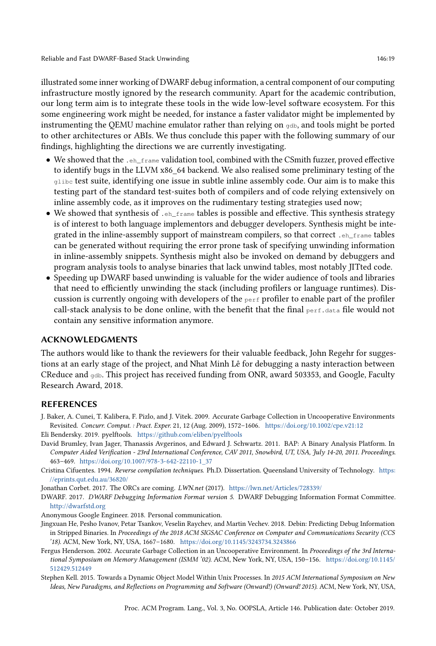illustrated some inner working of DWARF debug information, a central component of our computing infrastructure mostly ignored by the research community. Apart for the academic contribution, our long term aim is to integrate these tools in the wide low-level software ecosystem. For this some engineering work might be needed, for instance a faster validator might be implemented by instrumenting the QEMU machine emulator rather than relying on gdb, and tools might be ported to other architectures or ABIs. We thus conclude this paper with the following summary of our findings, highlighting the directions we are currently investigating.

- We showed that the  $.$   $_{\text{eh-frame}}$  validation tool, combined with the CSmith fuzzer, proved effective to identify bugs in the LLVM x86\_64 backend. We also realised some preliminary testing of the glibc test suite, identifying one issue in subtle inline assembly code. Our aim is to make this testing part of the standard test-suites both of compilers and of code relying extensively on inline assembly code, as it improves on the rudimentary testing strategies used now;
- We showed that synthesis of  $\cdot$  eh\_frame tables is possible and effective. This synthesis strategy is of interest to both language implementors and debugger developers. Synthesis might be integrated in the inline-assembly support of mainstream compilers, so that correct .eh\_frame tables can be generated without requiring the error prone task of specifying unwinding information in inline-assembly snippets. Synthesis might also be invoked on demand by debuggers and program analysis tools to analyse binaries that lack unwind tables, most notably JITted code.
- Speeding up DWARF based unwinding is valuable for the wider audience of tools and libraries that need to efficiently unwinding the stack (including profilers or language runtimes). Discussion is currently ongoing with developers of the  $_{\text{perf}}$  profiler to enable part of the profiler call-stack analysis to be done online, with the benefit that the final  $perf$  data file would not contain any sensitive information anymore.

## ACKNOWLEDGMENTS

The authors would like to thank the reviewers for their valuable feedback, John Regehr for suggestions at an early stage of the project, and Nhat Minh Lê for debugging a nasty interaction between CReduce and gdb. This project has received funding from ONR, award 503353, and Google, Faculty Research Award, 2018.

## REFERENCES

- <span id="page-18-8"></span>J. Baker, A. Cunei, T. Kalibera, F. Pizlo, and J. Vitek. 2009. Accurate Garbage Collection in Uncooperative Environments Revisited. Concurr. Comput. : Pract. Exper. 21, 12 (Aug. 2009), 1572–1606. <https://doi.org/10.1002/cpe.v21:12>
- <span id="page-18-2"></span>Eli Bendersky. 2019. pyelftools. <https://github.com/eliben/pyelftools>
- <span id="page-18-3"></span>David Brumley, Ivan Jager, Thanassis Avgerinos, and Edward J. Schwartz. 2011. BAP: A Binary Analysis Platform. In Computer Aided Verification - 23rd International Conference, CAV 2011, Snowbird, UT, USA, July 14-20, 2011. Proceedings. 463–469. [https://doi.org/10.1007/978-3-642-22110-1\\_37](https://doi.org/10.1007/978-3-642-22110-1_37)
- <span id="page-18-5"></span>Cristina Cifuentes. 1994. Reverse compilation techniques. Ph.D. Dissertation. Queensland University of Technology. [https:](https://eprints.qut.edu.au/36820/) [//eprints.qut.edu.au/36820/](https://eprints.qut.edu.au/36820/)
- <span id="page-18-6"></span>Jonathan Corbet. 2017. The ORCs are coming. LWN.net (2017). <https://lwn.net/Articles/728339/>
- <span id="page-18-0"></span>DWARF. 2017. DWARF Debugging Information Format version 5. DWARF Debugging Information Format Committee. <http://dwarfstd.org>
- <span id="page-18-1"></span>Anonymous Google Engineer. 2018. Personal communication.
- <span id="page-18-4"></span>Jingxuan He, Pesho Ivanov, Petar Tsankov, Veselin Raychev, and Martin Vechev. 2018. Debin: Predicting Debug Information in Stripped Binaries. In Proceedings of the 2018 ACM SIGSAC Conference on Computer and Communications Security (CCS '18). ACM, New York, NY, USA, 1667–1680. <https://doi.org/10.1145/3243734.3243866>
- <span id="page-18-7"></span>Fergus Henderson. 2002. Accurate Garbage Collection in an Uncooperative Environment. In Proceedings of the 3rd International Symposium on Memory Management (ISMM '02). ACM, New York, NY, USA, 150–156. [https://doi.org/10.1145/](https://doi.org/10.1145/512429.512449) [512429.512449](https://doi.org/10.1145/512429.512449)
- <span id="page-18-9"></span>Stephen Kell. 2015. Towards a Dynamic Object Model Within Unix Processes. In 2015 ACM International Symposium on New Ideas, New Paradigms, and Reflections on Programming and Software (Onward!) (Onward! 2015). ACM, New York, NY, USA,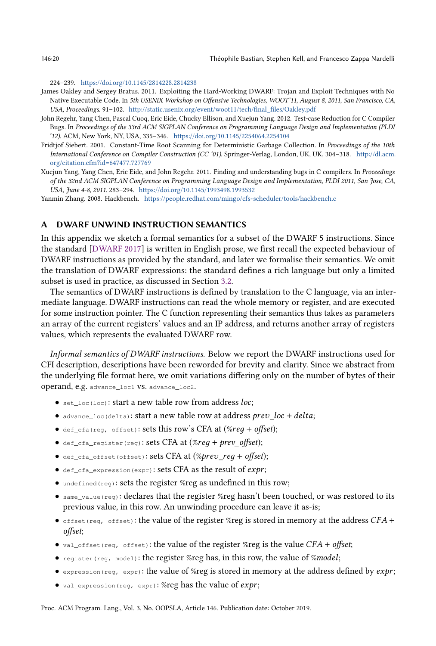224–239. <https://doi.org/10.1145/2814228.2814238>

- <span id="page-19-0"></span>James Oakley and Sergey Bratus. 2011. Exploiting the Hard-Working DWARF: Trojan and Exploit Techniques with No Native Executable Code. In 5th USENIX Workshop on Offensive Technologies, WOOT'11, August 8, 2011, San Francisco, CA, USA, Proceedings. 91–102. [http://static.usenix.org/event/woot11/tech/final\\_files/Oakley.pdf](http://static.usenix.org/event/woot11/tech/final_files/Oakley.pdf)
- <span id="page-19-2"></span>John Regehr, Yang Chen, Pascal Cuoq, Eric Eide, Chucky Ellison, and Xuejun Yang. 2012. Test-case Reduction for C Compiler Bugs. In Proceedings of the 33rd ACM SIGPLAN Conference on Programming Language Design and Implementation (PLDI '12). ACM, New York, NY, USA, 335–346. <https://doi.org/10.1145/2254064.2254104>
- <span id="page-19-5"></span>Fridtjof Siebert. 2001. Constant-Time Root Scanning for Deterministic Garbage Collection. In Proceedings of the 10th International Conference on Compiler Construction (CC '01). Springer-Verlag, London, UK, UK, 304–318. [http://dl.acm.](http://dl.acm.org/citation.cfm?id=647477.727769) [org/citation.cfm?id=647477.727769](http://dl.acm.org/citation.cfm?id=647477.727769)
- <span id="page-19-1"></span>Xuejun Yang, Yang Chen, Eric Eide, and John Regehr. 2011. Finding and understanding bugs in C compilers. In Proceedings of the 32nd ACM SIGPLAN Conference on Programming Language Design and Implementation, PLDI 2011, San Jose, CA, USA, June 4-8, 2011. 283–294. <https://doi.org/10.1145/1993498.1993532>

<span id="page-19-4"></span>Yanmin Zhang. 2008. Hackbench. <https://people.redhat.com/mingo/cfs-scheduler/tools/hackbench.c>

# <span id="page-19-3"></span>A DWARF UNWIND INSTRUCTION SEMANTICS

In this appendix we sketch a formal semantics for a subset of the DWARF 5 instructions. Since the standard [\[DWARF](#page-18-0) [2017\]](#page-18-0) is written in English prose, we first recall the expected behaviour of DWARF instructions as provided by the standard, and later we formalise their semantics. We omit the translation of DWARF expressions: the standard defines a rich language but only a limited subset is used in practice, as discussed in Section [3.2.](#page-15-0)

The semantics of DWARF instructions is defined by translation to the C language, via an intermediate language. DWARF instructions can read the whole memory or register, and are executed for some instruction pointer. The C function representing their semantics thus takes as parameters an array of the current registers' values and an IP address, and returns another array of registers values, which represents the evaluated DWARF row.

Informal semantics of DWARF instructions. Below we report the DWARF instructions used for CFI description, descriptions have been reworded for brevity and clarity. Since we abstract from the underlying file format here, we omit variations differing only on the number of bytes of their operand, e.g. advance\_loc1 vs. advance\_loc2.

- $\bullet$  set\_loc(loc): start a new table row from address loc;
- advance\_loc(delta): start a new table row at address  $prev\_loc + delta;$
- $\bullet$  def\_cfa(reg, offset): sets this row's CFA at  $(\%req + offset);$
- $\bullet$  def\_cfa\_register(reg): sets CFA at  $(\%req + prev\_offset);$
- $\bullet$  def\_cfa\_offset(offset): sets CFA at  $(\%prev\_reg + offset);$
- $\bullet$  def\_cfa\_expression(expr): sets CFA as the result of  $expr;$
- undefined(reg): sets the register %reg as undefined in this row;
- same\_value(reg): declares that the register %reg hasn't been touched, or was restored to its previous value, in this row. An unwinding procedure can leave it as-is;
- $\bullet$  offset(reg, offset): the value of the register %reg is stored in memory at the address CFA + offset;
- val\_offset(reg, offset): the value of the register %reg is the value  $CFA + offset;$
- register(reg, model): the register %reg has, in this row, the value of %model;
- expression (reg, expr): the value of %reg is stored in memory at the address defined by  $exp$ ;
- $\bullet$  val\_expression(reg, expr): %reg has the value of  $expr;$

Proc. ACM Program. Lang., Vol. 3, No. OOPSLA, Article 146. Publication date: October 2019.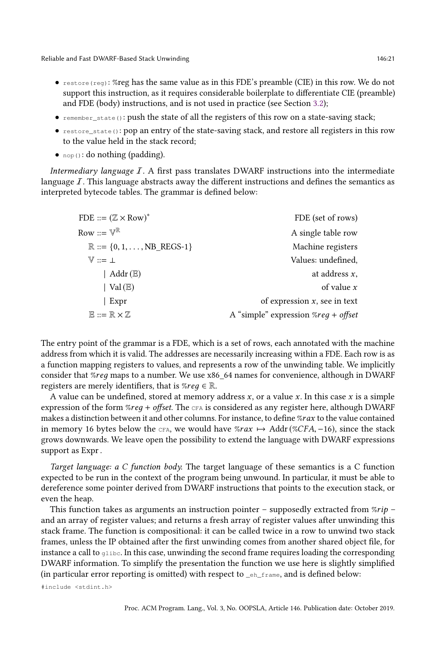- $\bullet$  restore (reg): %reg has the same value as in this FDE's preamble (CIE) in this row. We do not support this instruction, as it requires considerable boilerplate to differentiate CIE (preamble) and FDE (body) instructions, and is not used in practice (see Section [3.2\)](#page-15-0);
- remember\_state(): push the state of all the registers of this row on a state-saving stack;
- restore\_state(): pop an entry of the state-saving stack, and restore all registers in this row to the value held in the stack record;
- $nop()$ : do nothing (padding).

Intermediary language  $I$ . A first pass translates DWARF instructions into the intermediate language  $I$ . This language abstracts away the different instructions and defines the semantics as interpreted bytecode tables. The grammar is defined below:

| FDE ::= $(\mathbb{Z} \times \text{Row})^*$            | FDE (set of rows)                             |
|-------------------------------------------------------|-----------------------------------------------|
| Row ::= $\mathbb{V}^{\mathbb{R}}$                     | A single table row                            |
| $\mathbb{R} ::= \{0, 1, \ldots, NB \text{ REGS-1}\}\$ | Machine registers                             |
| $V ::= \bot$                                          | Values: undefined,                            |
| Addr $(E)$                                            | at address $x$ ,                              |
| Val $(E)$                                             | of value $x$                                  |
| Expr                                                  | of expression $x$ , see in text               |
| $E ::= R \times Z$                                    | A "simple" expression $\%req + \text{offset}$ |
|                                                       |                                               |

The entry point of the grammar is a FDE, which is a set of rows, each annotated with the machine address from which it is valid. The addresses are necessarily increasing within a FDE. Each row is as a function mapping registers to values, and represents a row of the unwinding table. We implicitly consider that %req maps to a number. We use x86 \, 64 names for convenience, although in DWARF registers are merely identifiers, that is  $\mathcal{E}req \in \mathbb{R}$ .

A value can be undefined, stored at memory address  $x$ , or a value  $x$ . In this case  $x$  is a simple expression of the form %req + offset. The CFA is considered as any register here, although DWARF makes a distinction between it and other columns. For instance, to define %rax to the value contained in memory 16 bytes below the CFA, we would have  $%$ rax  $\mapsto$  Addr(%CFA, −16), since the stack grows downwards. We leave open the possibility to extend the language with DWARF expressions support as Expr.

Target language: a C function body. The target language of these semantics is a C function expected to be run in the context of the program being unwound. In particular, it must be able to dereference some pointer derived from DWARF instructions that points to the execution stack, or even the heap.

This function takes as arguments an instruction pointer – supposedly extracted from  $\%rip$ and an array of register values; and returns a fresh array of register values after unwinding this stack frame. The function is compositional: it can be called twice in a row to unwind two stack frames, unless the IP obtained after the first unwinding comes from another shared object file, for instance a call to glibc. In this case, unwinding the second frame requires loading the corresponding DWARF information. To simplify the presentation the function we use here is slightly simplified (in particular error reporting is omitted) with respect to \_eh\_frame, and is defined below:

#include <stdint.h>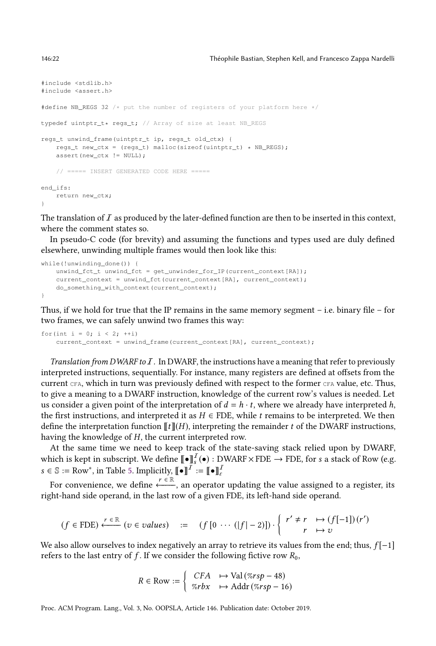```
#include <stdlib.h>
#include <assert.h>
#define NB_REGS 32 /* put the number of registers of your platform here */
typedef uintptr_t* regs_t; // Array of size at least NB_REGS
regs_t unwind_frame(uintptr_t ip, regs_t old_ctx) {
   regs_t new_ctx = (regs_t) malloc(sizeof(uintptr_t) * NB_REGS);
   assert(new_ctx != NULL);
    // ===== INSERT GENERATED CODE HERE =====
end_ifs:
   return new_ctx;
}
```
The translation of  $I$  as produced by the later-defined function are then to be inserted in this context, where the comment states so.

In pseudo-C code (for brevity) and assuming the functions and types used are duly defined elsewhere, unwinding multiple frames would then look like this:

```
while(!unwinding_done()) {
    unwind_fct_t unwind_fct = get_unwinder_for_IP(current_context[RA]);
    current context = unwind fct(current context[RA], current context);
    do_something_with_context(current_context);
}
```
Thus, if we hold for true that the IP remains in the same memory segment – i.e. binary file – for two frames, we can safely unwind two frames this way:

for(int  $i = 0$ ;  $i < 2$ ;  $++i$ ) current\_context = unwind\_frame(current\_context[RA], current\_context);

Translation from DWARF to  $I$ . In DWARF, the instructions have a meaning that refer to previously interpreted instructions, sequentially. For instance, many registers are defined at offsets from the current CFA, which in turn was previously defined with respect to the former CFA value, etc. Thus, to give a meaning to a DWARF instruction, knowledge of the current row's values is needed. Let us consider a given point of the interpretation of  $d = h \cdot t$ , where we already have interpreted h, the first instructions, and interpreted it as  $H \in FDE$ , while t remains to be interpreted. We then define the interpretation function  $[[t]](H)$ , interpreting the remainder t of the DWARF instructions, having the knowledge of H, the current interpreted row.

At the same time we need to keep track of the state-saving stack relied upon by DWARF, which is kept in subscript. We define  $\llbracket\bullet\rrbracket_s^T(\bullet) : {\rm DWART} \times {\rm FDE} \to {\rm FDE},$  for  $s$  a stack of Row (e.g.  $s \in \mathbb{S} := \text{Row}^*,$  in Table [5.](#page-22-0) Implicitly,  $[\![\bullet]\!]^I := [\![\bullet]\!]_{\varepsilon}^I$ 

For convenience, we define  $\stackrel{r \in \mathbb{R}}{\longleftarrow}$ , an operator updating the value assigned to a register, its right-hand side operand, in the last row of a given FDE, its left-hand side operand.

$$
(f \in FDE) \xleftarrow{r \in \mathbb{R}} (v \in values) := (f [0 \cdots (|f| - 2)]) \cdot \begin{cases} r' \neq r & \mapsto (f[-1])(r') \\ r & \mapsto v \end{cases}
$$

We also allow ourselves to index negatively an array to retrieve its values from the end; thus,  $f[-1]$ refers to the last entry of f. If we consider the following fictive row  $R_0$ ,

$$
R \in \text{Row} := \left\{ \begin{array}{ll} CFA & \mapsto \text{Val}\left(\%rsp - 48\right) \\ \%rbx & \mapsto \text{Addr}\left(\%rsp - 16\right) \end{array} \right.
$$

Proc. ACM Program. Lang., Vol. 3, No. OOPSLA, Article 146. Publication date: October 2019.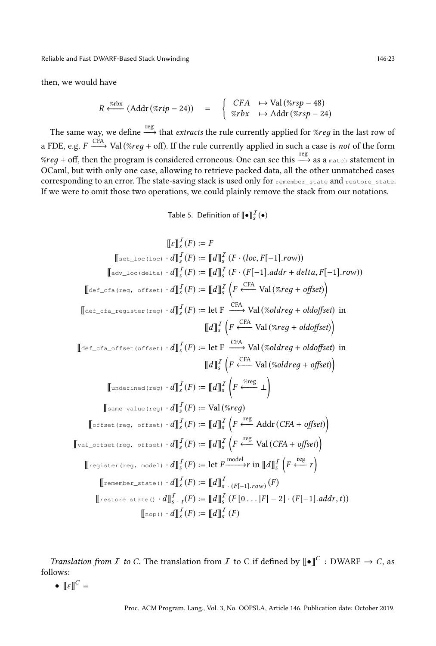Reliable and Fast DWARF-Based Stack Unwinding 146:23

then, we would have

$$
R \stackrel{\text{def}}{\longleftarrow} (Addr (\text{7-24})) = \begin{cases} CFA & \mapsto \text{Val} (\text{7-24}) \\ \text{7-24} \end{cases}
$$

The same way, we define  $\stackrel{\text{reg}}{\longrightarrow}$  that *extracts* the rule currently applied for %*reg* in the last row of a FDE, e.g.  $F \stackrel{\text{CFA}}{\longrightarrow} \text{Val}(\%reg+\text{off}).$  If the rule currently applied in such a case is *not* of the form  $\mathscr{C}reg$  + off, then the program is considered erroneous. One can see this  $\stackrel{\text{reg}}{\longrightarrow}$  as a match statement in OCaml, but with only one case, allowing to retrieve packed data, all the other unmatched cases corresponding to an error. The state-saving stack is used only for remember\_state and restore\_state. If we were to omit those two operations, we could plainly remove the stack from our notations.

Table 5. Definition of  $\llbracket \bullet \rrbracket_s^{\mathcal{I}}(\bullet)$ 

<span id="page-22-0"></span>⟦ε⟧ I s (F ) := F ⟦set\_loc(loc) · d⟧ I s (F ) := ⟦d⟧ I s (<sup>F</sup> · (loc, <sup>F</sup> [−1].row)) ⟦adv\_loc(delta) · d⟧ I s (F ) := ⟦d⟧ I s (<sup>F</sup> · (<sup>F</sup> [−1].addr <sup>+</sup> delta, <sup>F</sup> [−1].row)) ⟦def\_cfa(reg, offset) · d⟧ I s (F ) := ⟦d⟧ I s F CFA ←−−− Val (%reд <sup>+</sup> offset) ⟦def\_cfa\_register(reg) · d⟧ I s (<sup>F</sup> ) :<sup>=</sup> let F CFA −−−→ Val (%oldreд + oldoffset) in ⟦d⟧ I s F CFA ←−−− Val (%reд <sup>+</sup> oldoffset) ⟦def\_cfa\_offset(offset) · d⟧ I s (<sup>F</sup> ) :<sup>=</sup> let F CFA −−−→ Val (%oldreд + oldoffset) in ⟦d⟧ I s F CFA ←−−− Val (%oldreд <sup>+</sup> offset) ⟦undefined(reg) · d⟧ I s (F ) := ⟦d⟧ I s F %reg ←−−− ⊥ ⟦same\_value(reg) · d⟧ I s (F ) := Val (%reд) ⟦offset(reg, offset) · d⟧ I s (F ) := ⟦d⟧ I s F reg ←−− Addr(CFA <sup>+</sup> offset) ⟦val\_offset(reg, offset) · d⟧ I s (F ) := ⟦d⟧ I s F reg ←−− Val (CFA <sup>+</sup> offset) ⟦register(reg, model) · d⟧ I s (F ) := let F model −−−−→r in ⟦d⟧ I s F reg ←−− <sup>r</sup> ⟦remember\_state() · d⟧ I s (F ) := ⟦d⟧ I <sup>s</sup> · (<sup>F</sup> [−1].row) (F ) ⟦restore\_state() · d⟧ I s · t (F ) := ⟦d⟧ I s (<sup>F</sup> [<sup>0</sup> . . . <sup>|</sup><sup>F</sup> | − <sup>2</sup>] · (<sup>F</sup> [−1].addr,t)) ⟦nop() · d⟧ I s (F ) := ⟦d⟧ I s (F )

*Translation from I to C*. The translation from *I* to C if defined by  $[\![\bullet]\!]^C$  : DWARF  $\rightarrow$  *C*, as follows:

 $\bullet \llbracket \varepsilon \rrbracket^C =$